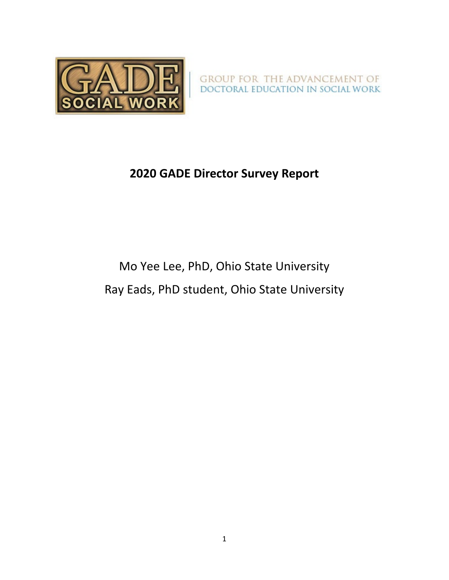

GROUP FOR THE ADVANCEMENT OF DOCTORAL EDUCATION IN SOCIAL WORK

## **2020 GADE Director Survey Report**

# Mo Yee Lee, PhD, Ohio State University Ray Eads, PhD student, Ohio State University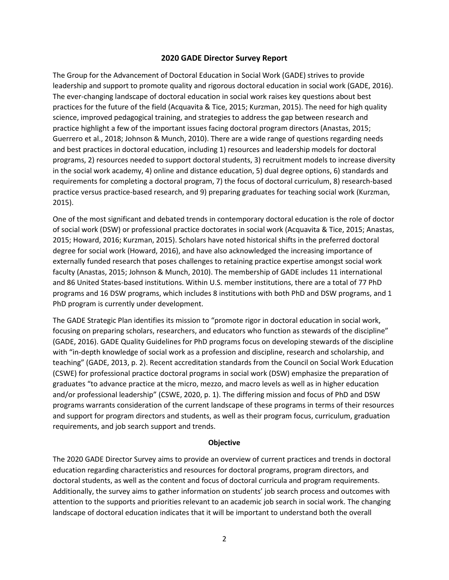#### **2020 GADE Director Survey Report**

The Group for the Advancement of Doctoral Education in Social Work (GADE) strives to provide leadership and support to promote quality and rigorous doctoral education in social work (GADE, 2016). The ever-changing landscape of doctoral education in social work raises key questions about best practices for the future of the field (Acquavita & Tice, 2015; Kurzman, 2015). The need for high quality science, improved pedagogical training, and strategies to address the gap between research and practice highlight a few of the important issues facing doctoral program directors (Anastas, 2015; Guerrero et al., 2018; Johnson & Munch, 2010). There are a wide range of questions regarding needs and best practices in doctoral education, including 1) resources and leadership models for doctoral programs, 2) resources needed to support doctoral students, 3) recruitment models to increase diversity in the social work academy, 4) online and distance education, 5) dual degree options, 6) standards and requirements for completing a doctoral program, 7) the focus of doctoral curriculum, 8) research-based practice versus practice-based research, and 9) preparing graduates for teaching social work (Kurzman, 2015).

One of the most significant and debated trends in contemporary doctoral education is the role of doctor of social work (DSW) or professional practice doctorates in social work (Acquavita & Tice, 2015; Anastas, 2015; Howard, 2016; Kurzman, 2015). Scholars have noted historical shifts in the preferred doctoral degree for social work (Howard, 2016), and have also acknowledged the increasing importance of externally funded research that poses challenges to retaining practice expertise amongst social work faculty (Anastas, 2015; Johnson & Munch, 2010). The membership of GADE includes 11 international and 86 United States-based institutions. Within U.S. member institutions, there are a total of 77 PhD programs and 16 DSW programs, which includes 8 institutions with both PhD and DSW programs, and 1 PhD program is currently under development.

The GADE Strategic Plan identifies its mission to "promote rigor in doctoral education in social work, focusing on preparing scholars, researchers, and educators who function as stewards of the discipline" (GADE, 2016). GADE Quality Guidelines for PhD programs focus on developing stewards of the discipline with "in-depth knowledge of social work as a profession and discipline, research and scholarship, and teaching" (GADE, 2013, p. 2). Recent accreditation standards from the Council on Social Work Education (CSWE) for professional practice doctoral programs in social work (DSW) emphasize the preparation of graduates "to advance practice at the micro, mezzo, and macro levels as well as in higher education and/or professional leadership" (CSWE, 2020, p. 1). The differing mission and focus of PhD and DSW programs warrants consideration of the current landscape of these programs in terms of their resources and support for program directors and students, as well as their program focus, curriculum, graduation requirements, and job search support and trends.

#### **Objective**

The 2020 GADE Director Survey aims to provide an overview of current practices and trends in doctoral education regarding characteristics and resources for doctoral programs, program directors, and doctoral students, as well as the content and focus of doctoral curricula and program requirements. Additionally, the survey aims to gather information on students' job search process and outcomes with attention to the supports and priorities relevant to an academic job search in social work. The changing landscape of doctoral education indicates that it will be important to understand both the overall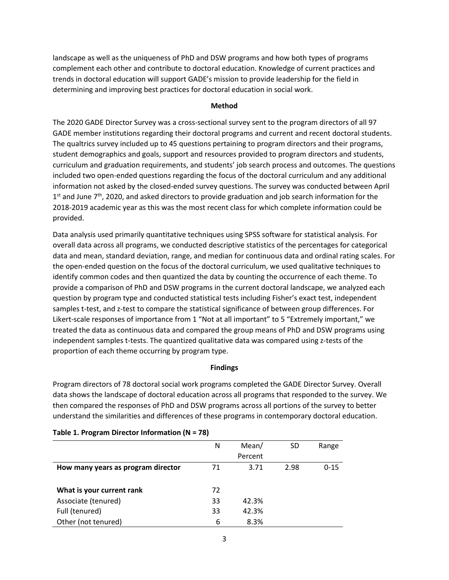landscape as well as the uniqueness of PhD and DSW programs and how both types of programs complement each other and contribute to doctoral education. Knowledge of current practices and trends in doctoral education will support GADE's mission to provide leadership for the field in determining and improving best practices for doctoral education in social work.

#### **Method**

The 2020 GADE Director Survey was a cross-sectional survey sent to the program directors of all 97 GADE member institutions regarding their doctoral programs and current and recent doctoral students. The qualtrics survey included up to 45 questions pertaining to program directors and their programs, student demographics and goals, support and resources provided to program directors and students, curriculum and graduation requirements, and students' job search process and outcomes. The questions included two open-ended questions regarding the focus of the doctoral curriculum and any additional information not asked by the closed-ended survey questions. The survey was conducted between April  $1<sup>st</sup>$  and June 7<sup>th</sup>, 2020, and asked directors to provide graduation and job search information for the 2018-2019 academic year as this was the most recent class for which complete information could be provided.

Data analysis used primarily quantitative techniques using SPSS software for statistical analysis. For overall data across all programs, we conducted descriptive statistics of the percentages for categorical data and mean, standard deviation, range, and median for continuous data and ordinal rating scales. For the open-ended question on the focus of the doctoral curriculum, we used qualitative techniques to identify common codes and then quantized the data by counting the occurrence of each theme. To provide a comparison of PhD and DSW programs in the current doctoral landscape, we analyzed each question by program type and conducted statistical tests including Fisher's exact test, independent samples t-test, and z-test to compare the statistical significance of between group differences. For Likert-scale responses of importance from 1 "Not at all important" to 5 "Extremely important," we treated the data as continuous data and compared the group means of PhD and DSW programs using independent samples t-tests. The quantized qualitative data was compared using z-tests of the proportion of each theme occurring by program type.

#### **Findings**

Program directors of 78 doctoral social work programs completed the GADE Director Survey. Overall data shows the landscape of doctoral education across all programs that responded to the survey. We then compared the responses of PhD and DSW programs across all portions of the survey to better understand the similarities and differences of these programs in contemporary doctoral education.

|                                    | N  | Mean/   | <b>SD</b> | Range    |
|------------------------------------|----|---------|-----------|----------|
|                                    |    | Percent |           |          |
| How many years as program director | 71 | 3.71    | 2.98      | $0 - 15$ |
|                                    |    |         |           |          |
| What is your current rank          | 72 |         |           |          |
| Associate (tenured)                | 33 | 42.3%   |           |          |
| Full (tenured)                     | 33 | 42.3%   |           |          |
| Other (not tenured)                | 6  | 8.3%    |           |          |

#### **Table 1. Program Director Information (N = 78)**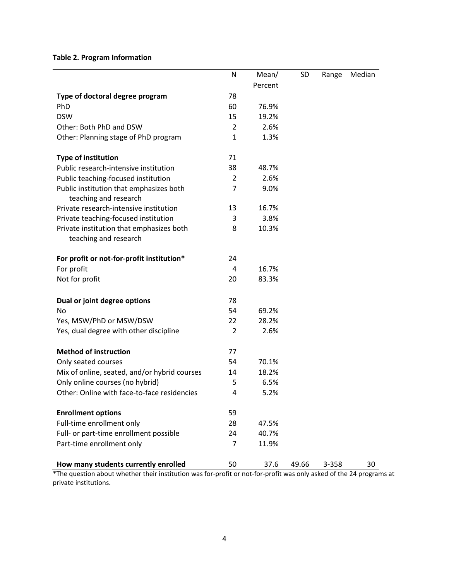## **Table 2. Program Information**

|                                                                   | N              | Mean/   | <b>SD</b> | Range | Median |
|-------------------------------------------------------------------|----------------|---------|-----------|-------|--------|
|                                                                   |                | Percent |           |       |        |
| Type of doctoral degree program                                   | 78             |         |           |       |        |
| PhD                                                               | 60             | 76.9%   |           |       |        |
| <b>DSW</b>                                                        | 15             | 19.2%   |           |       |        |
| Other: Both PhD and DSW                                           | $\overline{2}$ | 2.6%    |           |       |        |
| Other: Planning stage of PhD program                              | $\mathbf{1}$   | 1.3%    |           |       |        |
| <b>Type of institution</b>                                        | 71             |         |           |       |        |
| Public research-intensive institution                             | 38             | 48.7%   |           |       |        |
| Public teaching-focused institution                               | 2              | 2.6%    |           |       |        |
| Public institution that emphasizes both<br>teaching and research  | 7              | 9.0%    |           |       |        |
| Private research-intensive institution                            | 13             | 16.7%   |           |       |        |
| Private teaching-focused institution                              | 3              | 3.8%    |           |       |        |
| Private institution that emphasizes both<br>teaching and research | 8              | 10.3%   |           |       |        |
| For profit or not-for-profit institution*                         | 24             |         |           |       |        |
| For profit                                                        | 4              | 16.7%   |           |       |        |
| Not for profit                                                    | 20             | 83.3%   |           |       |        |
| Dual or joint degree options                                      | 78             |         |           |       |        |
| No                                                                | 54             | 69.2%   |           |       |        |
| Yes, MSW/PhD or MSW/DSW                                           | 22             | 28.2%   |           |       |        |
| Yes, dual degree with other discipline                            | $\overline{2}$ | 2.6%    |           |       |        |
| <b>Method of instruction</b>                                      | 77             |         |           |       |        |
| Only seated courses                                               | 54             | 70.1%   |           |       |        |
| Mix of online, seated, and/or hybrid courses                      | 14             | 18.2%   |           |       |        |
| Only online courses (no hybrid)                                   | 5              | 6.5%    |           |       |        |
| Other: Online with face-to-face residencies                       | Δ              | 5.2%    |           |       |        |
| <b>Enrollment options</b>                                         | 59             |         |           |       |        |
| Full-time enrollment only                                         | 28             | 47.5%   |           |       |        |
| Full- or part-time enrollment possible                            | 24             | 40.7%   |           |       |        |
| Part-time enrollment only                                         | 7              | 11.9%   |           |       |        |
| How many students currently enrolled                              | 50             | 37.6    | 49.66     | 3-358 | 30     |

\*The question about whether their institution was for-profit or not-for-profit was only asked of the 24 programs at private institutions.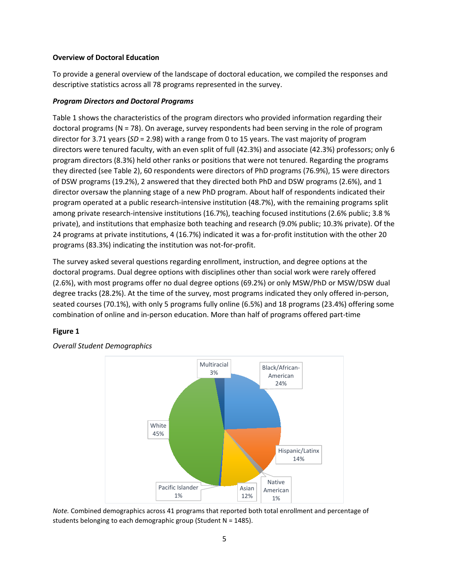#### **Overview of Doctoral Education**

To provide a general overview of the landscape of doctoral education, we compiled the responses and descriptive statistics across all 78 programs represented in the survey.

#### *Program Directors and Doctoral Programs*

Table 1 shows the characteristics of the program directors who provided information regarding their doctoral programs (N = 78). On average, survey respondents had been serving in the role of program director for 3.71 years (*SD* = 2.98) with a range from 0 to 15 years. The vast majority of program directors were tenured faculty, with an even split of full (42.3%) and associate (42.3%) professors; only 6 program directors (8.3%) held other ranks or positions that were not tenured. Regarding the programs they directed (see Table 2), 60 respondents were directors of PhD programs (76.9%), 15 were directors of DSW programs (19.2%), 2 answered that they directed both PhD and DSW programs (2.6%), and 1 director oversaw the planning stage of a new PhD program. About half of respondents indicated their program operated at a public research-intensive institution (48.7%), with the remaining programs split among private research-intensive institutions (16.7%), teaching focused institutions (2.6% public; 3.8 % private), and institutions that emphasize both teaching and research (9.0% public; 10.3% private). Of the 24 programs at private institutions, 4 (16.7%) indicated it was a for-profit institution with the other 20 programs (83.3%) indicating the institution was not-for-profit.

The survey asked several questions regarding enrollment, instruction, and degree options at the doctoral programs. Dual degree options with disciplines other than social work were rarely offered (2.6%), with most programs offer no dual degree options (69.2%) or only MSW/PhD or MSW/DSW dual degree tracks (28.2%). At the time of the survey, most programs indicated they only offered in-person, seated courses (70.1%), with only 5 programs fully online (6.5%) and 18 programs (23.4%) offering some combination of online and in-person education. More than half of programs offered part-time

#### **Figure 1**



*Overall Student Demographics*

*Note.* Combined demographics across 41 programs that reported both total enrollment and percentage of students belonging to each demographic group (Student N = 1485).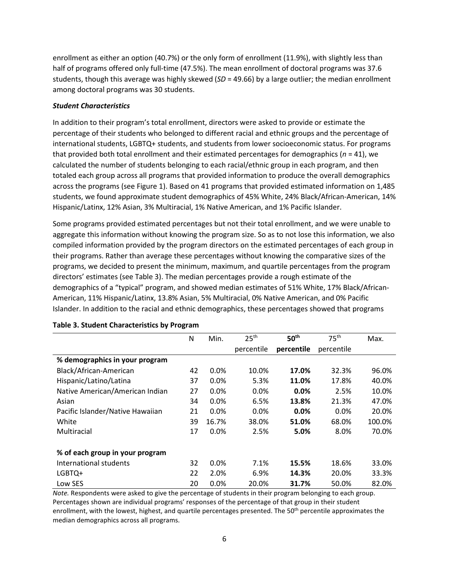enrollment as either an option (40.7%) or the only form of enrollment (11.9%), with slightly less than half of programs offered only full-time (47.5%). The mean enrollment of doctoral programs was 37.6 students, though this average was highly skewed (*SD* = 49.66) by a large outlier; the median enrollment among doctoral programs was 30 students.

#### *Student Characteristics*

In addition to their program's total enrollment, directors were asked to provide or estimate the percentage of their students who belonged to different racial and ethnic groups and the percentage of international students, LGBTQ+ students, and students from lower socioeconomic status. For programs that provided both total enrollment and their estimated percentages for demographics ( $n = 41$ ), we calculated the number of students belonging to each racial/ethnic group in each program, and then totaled each group across all programs that provided information to produce the overall demographics across the programs (see Figure 1). Based on 41 programs that provided estimated information on 1,485 students, we found approximate student demographics of 45% White, 24% Black/African-American, 14% Hispanic/Latinx, 12% Asian, 3% Multiracial, 1% Native American, and 1% Pacific Islander.

Some programs provided estimated percentages but not their total enrollment, and we were unable to aggregate this information without knowing the program size. So as to not lose this information, we also compiled information provided by the program directors on the estimated percentages of each group in their programs. Rather than average these percentages without knowing the comparative sizes of the programs, we decided to present the minimum, maximum, and quartile percentages from the program directors' estimates (see Table 3). The median percentages provide a rough estimate of the demographics of a "typical" program, and showed median estimates of 51% White, 17% Black/African-American, 11% Hispanic/Latinx, 13.8% Asian, 5% Multiracial, 0% Native American, and 0% Pacific Islander. In addition to the racial and ethnic demographics, these percentages showed that programs

|                                  | N  | Min.    | 25 <sup>th</sup> | 50 <sup>th</sup> | 75 <sup>th</sup> | Max.   |
|----------------------------------|----|---------|------------------|------------------|------------------|--------|
|                                  |    |         | percentile       | percentile       | percentile       |        |
| % demographics in your program   |    |         |                  |                  |                  |        |
| Black/African-American           | 42 | 0.0%    | 10.0%            | 17.0%            | 32.3%            | 96.0%  |
| Hispanic/Latino/Latina           | 37 | 0.0%    | 5.3%             | 11.0%            | 17.8%            | 40.0%  |
| Native American/American Indian  | 27 | 0.0%    | $0.0\%$          | 0.0%             | 2.5%             | 10.0%  |
| Asian                            | 34 | 0.0%    | 6.5%             | 13.8%            | 21.3%            | 47.0%  |
| Pacific Islander/Native Hawaiian | 21 | 0.0%    | $0.0\%$          | 0.0%             | $0.0\%$          | 20.0%  |
| White                            | 39 | 16.7%   | 38.0%            | 51.0%            | 68.0%            | 100.0% |
| Multiracial                      | 17 | 0.0%    | 2.5%             | 5.0%             | 8.0%             | 70.0%  |
|                                  |    |         |                  |                  |                  |        |
| % of each group in your program  |    |         |                  |                  |                  |        |
| International students           | 32 | $0.0\%$ | 7.1%             | 15.5%            | 18.6%            | 33.0%  |
| LGBTQ+                           | 22 | 2.0%    | 6.9%             | 14.3%            | 20.0%            | 33.3%  |
| Low SES                          | 20 | 0.0%    | 20.0%            | 31.7%            | 50.0%            | 82.0%  |

#### **Table 3. Student Characteristics by Program**

*Note.* Respondents were asked to give the percentage of students in their program belonging to each group. Percentages shown are individual programs' responses of the percentage of that group in their student enrollment, with the lowest, highest, and quartile percentages presented. The 50<sup>th</sup> percentile approximates the median demographics across all programs.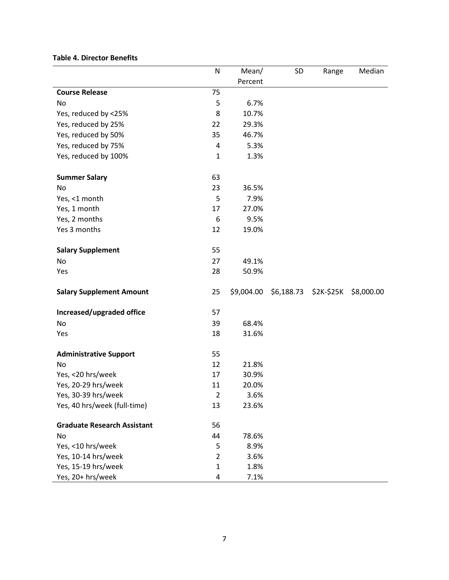#### **Table 4. Director Benefits**

|                                    | N              | Mean/      | SD         | Range      | Median     |
|------------------------------------|----------------|------------|------------|------------|------------|
|                                    |                | Percent    |            |            |            |
| <b>Course Release</b>              | 75             |            |            |            |            |
| No                                 | 5              | 6.7%       |            |            |            |
| Yes, reduced by <25%               | 8              | 10.7%      |            |            |            |
| Yes, reduced by 25%                | 22             | 29.3%      |            |            |            |
| Yes, reduced by 50%                | 35             | 46.7%      |            |            |            |
| Yes, reduced by 75%                | 4              | 5.3%       |            |            |            |
| Yes, reduced by 100%               | $\mathbf{1}$   | 1.3%       |            |            |            |
|                                    |                |            |            |            |            |
| <b>Summer Salary</b>               | 63             |            |            |            |            |
| No                                 | 23             | 36.5%      |            |            |            |
| Yes, <1 month                      | 5              | 7.9%       |            |            |            |
| Yes, 1 month                       | 17             | 27.0%      |            |            |            |
| Yes, 2 months                      | 6              | 9.5%       |            |            |            |
| Yes 3 months                       | 12             | 19.0%      |            |            |            |
| <b>Salary Supplement</b>           | 55             |            |            |            |            |
| No                                 | 27             | 49.1%      |            |            |            |
| Yes                                | 28             | 50.9%      |            |            |            |
| <b>Salary Supplement Amount</b>    | 25             | \$9,004.00 | \$6,188.73 | \$2K-\$25K | \$8,000.00 |
|                                    |                |            |            |            |            |
| Increased/upgraded office          | 57             |            |            |            |            |
| <b>No</b>                          | 39             | 68.4%      |            |            |            |
| Yes                                | 18             | 31.6%      |            |            |            |
| <b>Administrative Support</b>      | 55             |            |            |            |            |
| No                                 | 12             | 21.8%      |            |            |            |
| Yes, <20 hrs/week                  | 17             | 30.9%      |            |            |            |
| Yes, 20-29 hrs/week                | 11             | 20.0%      |            |            |            |
| Yes, 30-39 hrs/week                | $\overline{2}$ | 3.6%       |            |            |            |
| Yes, 40 hrs/week (full-time)       | 13             | 23.6%      |            |            |            |
| <b>Graduate Research Assistant</b> | 56             |            |            |            |            |
| No                                 | 44             | 78.6%      |            |            |            |
| Yes, <10 hrs/week                  | 5              | 8.9%       |            |            |            |
| Yes, 10-14 hrs/week                | $\overline{2}$ | 3.6%       |            |            |            |
| Yes, 15-19 hrs/week                | $\mathbf{1}$   | 1.8%       |            |            |            |
| Yes, 20+ hrs/week                  | 4              | 7.1%       |            |            |            |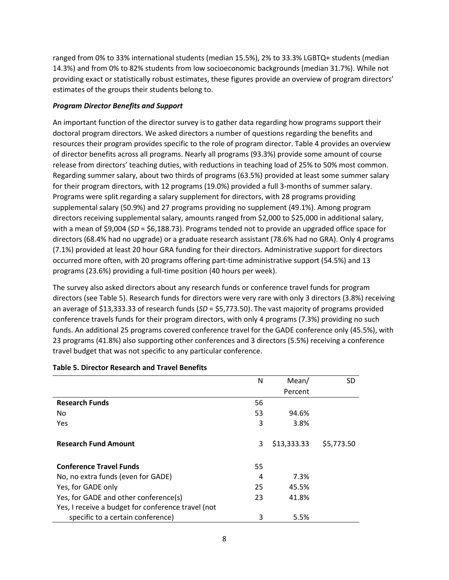ranged from 0% to 33% international students (median 15.5%), 2% to 33.3% LGBTQ+ students (median 14.3%) and from 0% to 82% students from low socioeconomic backgrounds (median 31.7%). While not providing exact or statistically robust estimates, these figures provide an overview of program directors' estimates of the groups their students belong to.

#### *Program Director Benefits and Support*

An important function of the director survey is to gather data regarding how programs support their doctoral program directors. We asked directors a number of questions regarding the benefits and resources their program provides specific to the role of program director. Table 4 provides an overview of director benefits across all programs. Nearly all programs (93.3%) provide some amount of course release from directors' teaching duties, with reductions in teaching load of 25% to 50% most common. Regarding summer salary, about two thirds of programs (63.5%) provided at least some summer salary for their program directors, with 12 programs (19.0%) provided a full 3-months of summer salary. Programs were split regarding a salary supplement for directors, with 28 programs providing supplemental salary (50.9%) and 27 programs providing no supplement (49.1%). Among program directors receiving supplemental salary, amounts ranged from \$2,000 to \$25,000 in additional salary, with a mean of \$9,004 (*SD* = \$6,188.73). Programs tended not to provide an upgraded office space for directors (68.4% had no upgrade) or a graduate research assistant (78.6% had no GRA). Only 4 programs (7.1%) provided at least 20 hour GRA funding for their directors. Administrative support for directors occurred more often, with 20 programs offering part-time administrative support (54.5%) and 13 programs (23.6%) providing a full-time position (40 hours per week).

The survey also asked directors about any research funds or conference travel funds for program directors (see Table 5). Research funds for directors were very rare with only 3 directors (3.8%) receiving an average of \$13,333.33 of research funds (*SD* = \$5,773.50). The vast majority of programs provided conference travels funds for their program directors, with only 4 programs (7.3%) providing no such funds. An additional 25 programs covered conference travel for the GADE conference only (45.5%), with 23 programs (41.8%) also supporting other conferences and 3 directors (5.5%) receiving a conference travel budget that was not specific to any particular conference.

|                                                    | N  | Mean/       | SD         |
|----------------------------------------------------|----|-------------|------------|
|                                                    |    | Percent     |            |
| <b>Research Funds</b>                              | 56 |             |            |
| No                                                 | 53 | 94.6%       |            |
| Yes                                                | 3  | 3.8%        |            |
| <b>Research Fund Amount</b>                        | 3  | \$13,333.33 | \$5,773.50 |
| <b>Conference Travel Funds</b>                     | 55 |             |            |
| No, no extra funds (even for GADE)                 | 4  | 7.3%        |            |
| Yes, for GADE only                                 | 25 | 45.5%       |            |
| Yes, for GADE and other conference(s)              | 23 | 41.8%       |            |
| Yes, I receive a budget for conference travel (not |    |             |            |
| specific to a certain conference)                  | 3  | 5.5%        |            |

#### **Table 5. Director Research and Travel Benefits**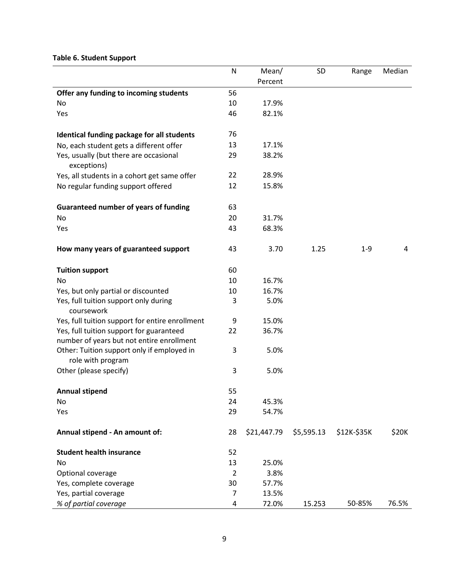#### **Table 6. Student Support**

|                                                       | $\mathsf{N}$   | Mean/       | SD         | Range       | Median |
|-------------------------------------------------------|----------------|-------------|------------|-------------|--------|
|                                                       |                | Percent     |            |             |        |
| Offer any funding to incoming students                | 56             |             |            |             |        |
| <b>No</b>                                             | 10             | 17.9%       |            |             |        |
| Yes                                                   | 46             | 82.1%       |            |             |        |
|                                                       |                |             |            |             |        |
| Identical funding package for all students            | 76             |             |            |             |        |
| No, each student gets a different offer               | 13             | 17.1%       |            |             |        |
| Yes, usually (but there are occasional<br>exceptions) | 29             | 38.2%       |            |             |        |
| Yes, all students in a cohort get same offer          | 22             | 28.9%       |            |             |        |
| No regular funding support offered                    | 12             | 15.8%       |            |             |        |
| <b>Guaranteed number of years of funding</b>          | 63             |             |            |             |        |
| No                                                    | 20             | 31.7%       |            |             |        |
| Yes                                                   | 43             | 68.3%       |            |             |        |
|                                                       |                |             |            |             |        |
| How many years of guaranteed support                  | 43             | 3.70        | 1.25       | $1 - 9$     | 4      |
|                                                       |                |             |            |             |        |
| <b>Tuition support</b>                                | 60             |             |            |             |        |
| No                                                    | 10             | 16.7%       |            |             |        |
| Yes, but only partial or discounted                   | 10             | 16.7%       |            |             |        |
| Yes, full tuition support only during<br>coursework   | 3              | 5.0%        |            |             |        |
| Yes, full tuition support for entire enrollment       | 9              | 15.0%       |            |             |        |
| Yes, full tuition support for guaranteed              | 22             | 36.7%       |            |             |        |
| number of years but not entire enrollment             |                |             |            |             |        |
| Other: Tuition support only if employed in            | 3              | 5.0%        |            |             |        |
| role with program                                     |                |             |            |             |        |
| Other (please specify)                                | 3              | 5.0%        |            |             |        |
| <b>Annual stipend</b>                                 | 55             |             |            |             |        |
| No                                                    | 24             | 45.3%       |            |             |        |
| Yes                                                   | 29             | 54.7%       |            |             |        |
| Annual stipend - An amount of:                        | 28             | \$21,447.79 | \$5,595.13 | \$12K-\$35K | \$20K  |
| <b>Student health insurance</b>                       | 52             |             |            |             |        |
| No                                                    | 13             | 25.0%       |            |             |        |
| Optional coverage                                     | $\overline{2}$ | 3.8%        |            |             |        |
| Yes, complete coverage                                | 30             | 57.7%       |            |             |        |
| Yes, partial coverage                                 | 7              | 13.5%       |            |             |        |
| % of partial coverage                                 | 4              | 72.0%       | 15.253     | 50-85%      | 76.5%  |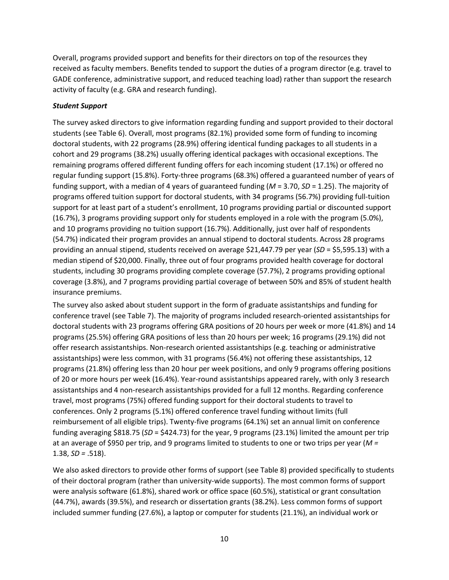Overall, programs provided support and benefits for their directors on top of the resources they received as faculty members. Benefits tended to support the duties of a program director (e.g. travel to GADE conference, administrative support, and reduced teaching load) rather than support the research activity of faculty (e.g. GRA and research funding).

#### *Student Support*

The survey asked directors to give information regarding funding and support provided to their doctoral students (see Table 6). Overall, most programs (82.1%) provided some form of funding to incoming doctoral students, with 22 programs (28.9%) offering identical funding packages to all students in a cohort and 29 programs (38.2%) usually offering identical packages with occasional exceptions. The remaining programs offered different funding offers for each incoming student (17.1%) or offered no regular funding support (15.8%). Forty-three programs (68.3%) offered a guaranteed number of years of funding support, with a median of 4 years of guaranteed funding (*M* = 3.70, *SD* = 1.25). The majority of programs offered tuition support for doctoral students, with 34 programs (56.7%) providing full-tuition support for at least part of a student's enrollment, 10 programs providing partial or discounted support (16.7%), 3 programs providing support only for students employed in a role with the program (5.0%), and 10 programs providing no tuition support (16.7%). Additionally, just over half of respondents (54.7%) indicated their program provides an annual stipend to doctoral students. Across 28 programs providing an annual stipend, students received on average \$21,447.79 per year (*SD* = \$5,595.13) with a median stipend of \$20,000. Finally, three out of four programs provided health coverage for doctoral students, including 30 programs providing complete coverage (57.7%), 2 programs providing optional coverage (3.8%), and 7 programs providing partial coverage of between 50% and 85% of student health insurance premiums.

The survey also asked about student support in the form of graduate assistantships and funding for conference travel (see Table 7). The majority of programs included research-oriented assistantships for doctoral students with 23 programs offering GRA positions of 20 hours per week or more (41.8%) and 14 programs (25.5%) offering GRA positions of less than 20 hours per week; 16 programs (29.1%) did not offer research assistantships. Non-research oriented assistantships (e.g. teaching or administrative assistantships) were less common, with 31 programs (56.4%) not offering these assistantships, 12 programs (21.8%) offering less than 20 hour per week positions, and only 9 programs offering positions of 20 or more hours per week (16.4%). Year-round assistantships appeared rarely, with only 3 research assistantships and 4 non-research assistantships provided for a full 12 months. Regarding conference travel, most programs (75%) offered funding support for their doctoral students to travel to conferences. Only 2 programs (5.1%) offered conference travel funding without limits (full reimbursement of all eligible trips). Twenty-five programs (64.1%) set an annual limit on conference funding averaging \$818.75 (*SD* = \$424.73) for the year, 9 programs (23.1%) limited the amount per trip at an average of \$950 per trip, and 9 programs limited to students to one or two trips per year (*M =*  1.38, *SD =* .518).

We also asked directors to provide other forms of support (see Table 8) provided specifically to students of their doctoral program (rather than university-wide supports). The most common forms of support were analysis software (61.8%), shared work or office space (60.5%), statistical or grant consultation (44.7%), awards (39.5%), and research or dissertation grants (38.2%). Less common forms of support included summer funding (27.6%), a laptop or computer for students (21.1%), an individual work or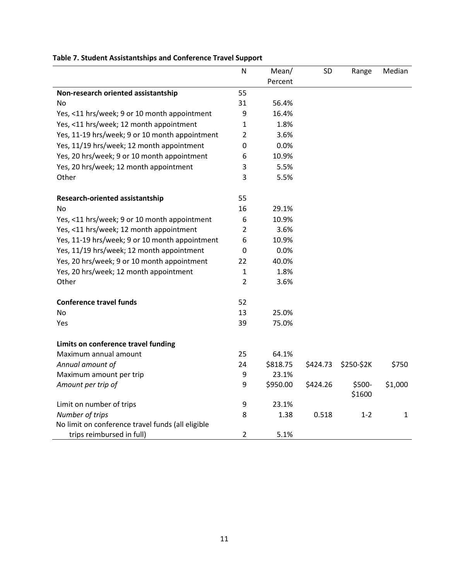|                                                   | ${\sf N}$      | Mean/    | SD       | Range            | Median       |
|---------------------------------------------------|----------------|----------|----------|------------------|--------------|
|                                                   |                | Percent  |          |                  |              |
| Non-research oriented assistantship               | 55             |          |          |                  |              |
| No                                                | 31             | 56.4%    |          |                  |              |
| Yes, <11 hrs/week; 9 or 10 month appointment      | 9              | 16.4%    |          |                  |              |
| Yes, <11 hrs/week; 12 month appointment           | 1              | 1.8%     |          |                  |              |
| Yes, 11-19 hrs/week; 9 or 10 month appointment    | $\overline{2}$ | 3.6%     |          |                  |              |
| Yes, 11/19 hrs/week; 12 month appointment         | $\pmb{0}$      | 0.0%     |          |                  |              |
| Yes, 20 hrs/week; 9 or 10 month appointment       | 6              | 10.9%    |          |                  |              |
| Yes, 20 hrs/week; 12 month appointment            | 3              | 5.5%     |          |                  |              |
| Other                                             | 3              | 5.5%     |          |                  |              |
| <b>Research-oriented assistantship</b>            | 55             |          |          |                  |              |
| <b>No</b>                                         | 16             | 29.1%    |          |                  |              |
| Yes, <11 hrs/week; 9 or 10 month appointment      | 6              | 10.9%    |          |                  |              |
| Yes, <11 hrs/week; 12 month appointment           | 2              | 3.6%     |          |                  |              |
| Yes, 11-19 hrs/week; 9 or 10 month appointment    | 6              | 10.9%    |          |                  |              |
| Yes, 11/19 hrs/week; 12 month appointment         | 0              | 0.0%     |          |                  |              |
| Yes, 20 hrs/week; 9 or 10 month appointment       | 22             | 40.0%    |          |                  |              |
| Yes, 20 hrs/week; 12 month appointment            | 1              | 1.8%     |          |                  |              |
| Other                                             | $\overline{2}$ | 3.6%     |          |                  |              |
| <b>Conference travel funds</b>                    | 52             |          |          |                  |              |
| No                                                | 13             | 25.0%    |          |                  |              |
| Yes                                               | 39             | 75.0%    |          |                  |              |
| Limits on conference travel funding               |                |          |          |                  |              |
| Maximum annual amount                             | 25             | 64.1%    |          |                  |              |
| Annual amount of                                  | 24             | \$818.75 | \$424.73 | \$250-\$2K       | \$750        |
| Maximum amount per trip                           | 9              | 23.1%    |          |                  |              |
| Amount per trip of                                | 9              | \$950.00 | \$424.26 | \$500-<br>\$1600 | \$1,000      |
| Limit on number of trips                          | 9              | 23.1%    |          |                  |              |
| Number of trips                                   | 8              | 1.38     | 0.518    | $1 - 2$          | $\mathbf{1}$ |
| No limit on conference travel funds (all eligible |                |          |          |                  |              |
| trips reimbursed in full)                         | $\overline{2}$ | 5.1%     |          |                  |              |

## **Table 7. Student Assistantships and Conference Travel Support**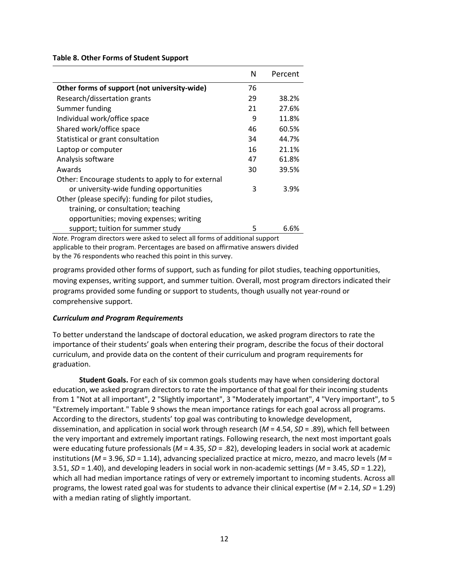**Table 8. Other Forms of Student Support**

|                                                                              | N  | Percent |  |  |  |  |
|------------------------------------------------------------------------------|----|---------|--|--|--|--|
| Other forms of support (not university-wide)                                 | 76 |         |  |  |  |  |
| Research/dissertation grants                                                 | 29 | 38.2%   |  |  |  |  |
| Summer funding                                                               | 21 | 27.6%   |  |  |  |  |
| Individual work/office space                                                 | 9  | 11.8%   |  |  |  |  |
| Shared work/office space                                                     | 46 | 60.5%   |  |  |  |  |
| Statistical or grant consultation                                            | 34 | 44.7%   |  |  |  |  |
| Laptop or computer                                                           | 16 | 21.1%   |  |  |  |  |
| Analysis software                                                            | 47 | 61.8%   |  |  |  |  |
| Awards                                                                       | 30 | 39.5%   |  |  |  |  |
| Other: Encourage students to apply to for external                           |    |         |  |  |  |  |
| or university-wide funding opportunities                                     | 3  | 3.9%    |  |  |  |  |
| Other (please specify): funding for pilot studies,                           |    |         |  |  |  |  |
| training, or consultation; teaching                                          |    |         |  |  |  |  |
| opportunities; moving expenses; writing                                      |    |         |  |  |  |  |
| support; tuition for summer study                                            | 5  | 6.6%    |  |  |  |  |
| Note. Program directors were asked to select all forms of additional support |    |         |  |  |  |  |

applicable to their program. Percentages are based on affirmative answers divided by the 76 respondents who reached this point in this survey.

programs provided other forms of support, such as funding for pilot studies, teaching opportunities, moving expenses, writing support, and summer tuition. Overall, most program directors indicated their programs provided some funding or support to students, though usually not year-round or comprehensive support.

#### *Curriculum and Program Requirements*

To better understand the landscape of doctoral education, we asked program directors to rate the importance of their students' goals when entering their program, describe the focus of their doctoral curriculum, and provide data on the content of their curriculum and program requirements for graduation.

**Student Goals.** For each of six common goals students may have when considering doctoral education, we asked program directors to rate the importance of that goal for their incoming students from 1 "Not at all important", 2 "Slightly important", 3 "Moderately important", 4 "Very important", to 5 "Extremely important." Table 9 shows the mean importance ratings for each goal across all programs. According to the directors, students' top goal was contributing to knowledge development, dissemination, and application in social work through research (*M* = 4.54, *SD* = .89), which fell between the very important and extremely important ratings. Following research, the next most important goals were educating future professionals (*M* = 4.35, *SD* = .82), developing leaders in social work at academic institutions (*M* = 3.96, *SD* = 1.14), advancing specialized practice at micro, mezzo, and macro levels (*M* = 3.51, *SD* = 1.40), and developing leaders in social work in non-academic settings (*M* = 3.45, *SD* = 1.22), which all had median importance ratings of very or extremely important to incoming students. Across all programs, the lowest rated goal was for students to advance their clinical expertise (*M* = 2.14, *SD* = 1.29) with a median rating of slightly important.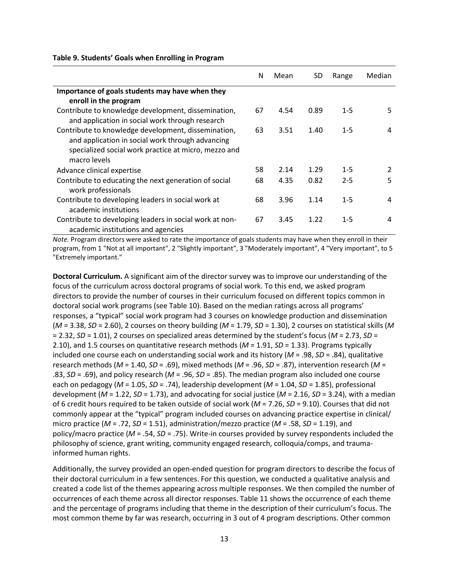|                                                         | N  | Mean | SD.  | Range   | Median |
|---------------------------------------------------------|----|------|------|---------|--------|
| Importance of goals students may have when they         |    |      |      |         |        |
| enroll in the program                                   |    |      |      |         |        |
| Contribute to knowledge development, dissemination,     | 67 | 4.54 | 0.89 | $1 - 5$ | 5      |
| and application in social work through research         |    |      |      |         |        |
| Contribute to knowledge development, dissemination,     | 63 | 3.51 | 1.40 | $1 - 5$ | 4      |
| and application in social work through advancing        |    |      |      |         |        |
| specialized social work practice at micro, mezzo and    |    |      |      |         |        |
| macro levels                                            |    |      |      |         |        |
| Advance clinical expertise                              | 58 | 2.14 | 1.29 | $1 - 5$ | 2      |
| Contribute to educating the next generation of social   | 68 | 4.35 | 0.82 | $2 - 5$ | 5      |
| work professionals                                      |    |      |      |         |        |
| Contribute to developing leaders in social work at      | 68 | 3.96 | 1.14 | $1 - 5$ | 4      |
| academic institutions                                   |    |      |      |         |        |
| Contribute to developing leaders in social work at non- | 67 | 3.45 | 1.22 | $1 - 5$ | 4      |
| academic institutions and agencies                      |    |      |      |         |        |

#### **Table 9. Students' Goals when Enrolling in Program**

*Note.* Program directors were asked to rate the importance of goals students may have when they enroll in their program, from 1 "Not at all important", 2 "Slightly important", 3 "Moderately important", 4 "Very important", to 5 "Extremely important."

**Doctoral Curriculum.** A significant aim of the director survey was to improve our understanding of the focus of the curriculum across doctoral programs of social work. To this end, we asked program directors to provide the number of courses in their curriculum focused on different topics common in doctoral social work programs (see Table 10). Based on the median ratings across all programs' responses, a "typical" social work program had 3 courses on knowledge production and dissemination (*M* = 3.38, *SD* = 2.60), 2 courses on theory building (*M* = 1.79, *SD* = 1.30), 2 courses on statistical skills (*M* = 2.32, *SD* = 1.01), 2 courses on specialized areas determined by the student's focus (*M* = 2.73, *SD* = 2.10), and 1.5 courses on quantitative research methods (*M* = 1.91, *SD* = 1.33). Programs typically included one course each on understanding social work and its history (*M* = .98, *SD* = .84), qualitative research methods (*M* = 1.40, *SD* = .69), mixed methods (*M* = .96, *SD* = .87), intervention research (*M* = .83, *SD* = .69), and policy research (*M* = .96, *SD* = .85). The median program also included one course each on pedagogy (*M* = 1.05, *SD* = .74), leadership development (*M* = 1.04, *SD* = 1.85), professional development (*M* = 1.22, *SD* = 1.73), and advocating for social justice (*M* = 2.16, *SD* = 3.24), with a median of 6 credit hours required to be taken outside of social work (*M* = 7.26, *SD* = 9.10). Courses that did not commonly appear at the "typical" program included courses on advancing practice expertise in clinical/ micro practice (*M* = .72, *SD* = 1.51), administration/mezzo practice (*M* = .58, *SD* = 1.19), and policy/macro practice (*M* = .54, *SD* = .75). Write-in courses provided by survey respondents included the philosophy of science, grant writing, community engaged research, colloquia/comps, and traumainformed human rights.

Additionally, the survey provided an open-ended question for program directors to describe the focus of their doctoral curriculum in a few sentences. For this question, we conducted a qualitative analysis and created a code list of the themes appearing across multiple responses. We then compiled the number of occurrences of each theme across all director responses. Table 11 shows the occurrence of each theme and the percentage of programs including that theme in the description of their curriculum's focus. The most common theme by far was research, occurring in 3 out of 4 program descriptions. Other common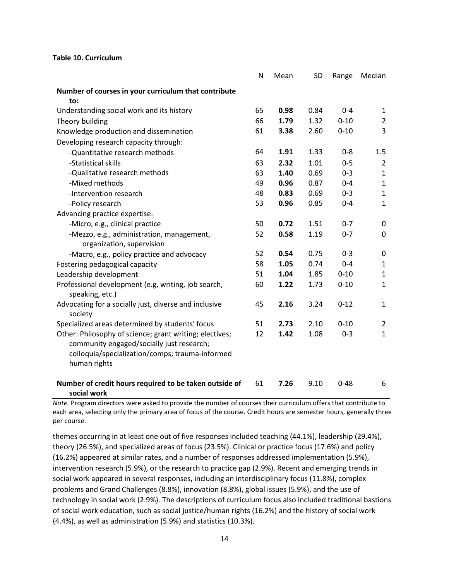#### **Table 10. Curriculum**

|                                                                       | N  | Mean | <b>SD</b> | Range    | Median         |
|-----------------------------------------------------------------------|----|------|-----------|----------|----------------|
| Number of courses in your curriculum that contribute                  |    |      |           |          |                |
| to:                                                                   |    |      |           |          |                |
| Understanding social work and its history                             | 65 | 0.98 | 0.84      | $0 - 4$  | $\mathbf{1}$   |
| Theory building                                                       | 66 | 1.79 | 1.32      | $0 - 10$ | $\overline{2}$ |
| Knowledge production and dissemination                                | 61 | 3.38 | 2.60      | $0 - 10$ | 3              |
| Developing research capacity through:                                 |    |      |           |          |                |
| -Quantitative research methods                                        | 64 | 1.91 | 1.33      | $0 - 8$  | 1.5            |
| -Statistical skills                                                   | 63 | 2.32 | 1.01      | $0 - 5$  | $\overline{2}$ |
| -Qualitative research methods                                         | 63 | 1.40 | 0.69      | $0 - 3$  | $\mathbf{1}$   |
| -Mixed methods                                                        | 49 | 0.96 | 0.87      | $0 - 4$  | $\mathbf{1}$   |
| -Intervention research                                                | 48 | 0.83 | 0.69      | $0 - 3$  | $\mathbf{1}$   |
| -Policy research                                                      | 53 | 0.96 | 0.85      | $0 - 4$  | $\mathbf{1}$   |
| Advancing practice expertise:                                         |    |      |           |          |                |
| -Micro, e.g., clinical practice                                       | 50 | 0.72 | 1.51      | $0 - 7$  | 0              |
| -Mezzo, e.g., administration, management,                             | 52 | 0.58 | 1.19      | $0 - 7$  | 0              |
| organization, supervision                                             |    |      |           |          |                |
| -Macro, e.g., policy practice and advocacy                            | 52 | 0.54 | 0.75      | $0 - 3$  | 0              |
| Fostering pedagogical capacity                                        | 58 | 1.05 | 0.74      | $0 - 4$  | $\mathbf{1}$   |
| Leadership development                                                | 51 | 1.04 | 1.85      | $0 - 10$ | $\mathbf{1}$   |
| Professional development (e.g, writing, job search,                   | 60 | 1.22 | 1.73      | $0 - 10$ | $\mathbf{1}$   |
| speaking, etc.)                                                       |    |      |           |          |                |
| Advocating for a socially just, diverse and inclusive                 | 45 | 2.16 | 3.24      | $0 - 12$ | $\mathbf{1}$   |
| society                                                               |    |      |           |          |                |
| Specialized areas determined by students' focus                       | 51 | 2.73 | 2.10      | $0 - 10$ | $\overline{2}$ |
| Other: Philosophy of science; grant writing; electives;               | 12 | 1.42 | 1.08      | $0 - 3$  | $\mathbf{1}$   |
| community engaged/socially just research;                             |    |      |           |          |                |
| colloquia/specialization/comps; trauma-informed                       |    |      |           |          |                |
| human rights                                                          |    |      |           |          |                |
|                                                                       | 61 | 7.26 | 9.10      | $0 - 48$ | 6              |
| Number of credit hours required to be taken outside of<br>social work |    |      |           |          |                |

*Note.* Program directors were asked to provide the number of courses their curriculum offers that contribute to each area, selecting only the primary area of focus of the course. Credit hours are semester hours, generally three per course.

themes occurring in at least one out of five responses included teaching (44.1%), leadership (29.4%), theory (26.5%), and specialized areas of focus (23.5%). Clinical or practice focus (17.6%) and policy (16.2%) appeared at similar rates, and a number of responses addressed implementation (5.9%), intervention research (5.9%), or the research to practice gap (2.9%). Recent and emerging trends in social work appeared in several responses, including an interdisciplinary focus (11.8%), complex problems and Grand Challenges (8.8%), innovation (8.8%), global issues (5.9%), and the use of technology in social work (2.9%). The descriptions of curriculum focus also included traditional bastions of social work education, such as social justice/human rights (16.2%) and the history of social work (4.4%), as well as administration (5.9%) and statistics (10.3%).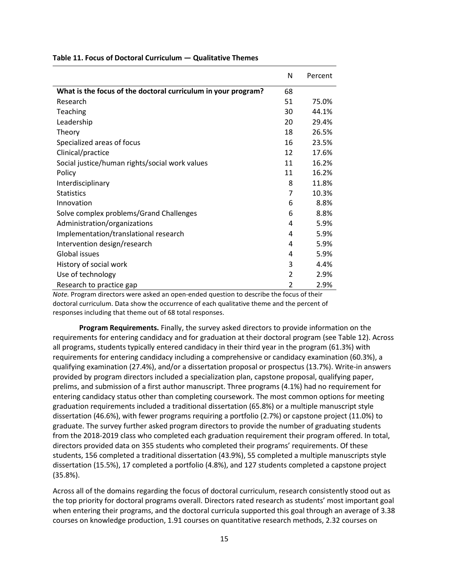|                                                               | N  | Percent |
|---------------------------------------------------------------|----|---------|
| What is the focus of the doctoral curriculum in your program? | 68 |         |
| Research                                                      | 51 | 75.0%   |
| Teaching                                                      | 30 | 44.1%   |
| Leadership                                                    | 20 | 29.4%   |
| Theory                                                        | 18 | 26.5%   |
| Specialized areas of focus                                    | 16 | 23.5%   |
| Clinical/practice                                             | 12 | 17.6%   |
| Social justice/human rights/social work values                | 11 | 16.2%   |
| Policy                                                        | 11 | 16.2%   |
| Interdisciplinary                                             | 8  | 11.8%   |
| <b>Statistics</b>                                             | 7  | 10.3%   |
| Innovation                                                    | 6  | 8.8%    |
| Solve complex problems/Grand Challenges                       | 6  | 8.8%    |
| Administration/organizations                                  | 4  | 5.9%    |
| Implementation/translational research                         | 4  | 5.9%    |
| Intervention design/research                                  | 4  | 5.9%    |
| <b>Global issues</b>                                          | 4  | 5.9%    |
| History of social work                                        | 3  | 4.4%    |
| Use of technology                                             | 2  | 2.9%    |
| Research to practice gap                                      | 2  | 2.9%    |

#### **Table 11. Focus of Doctoral Curriculum — Qualitative Themes**

*Note.* Program directors were asked an open-ended question to describe the focus of their doctoral curriculum. Data show the occurrence of each qualitative theme and the percent of responses including that theme out of 68 total responses.

**Program Requirements.** Finally, the survey asked directors to provide information on the requirements for entering candidacy and for graduation at their doctoral program (see Table 12). Across all programs, students typically entered candidacy in their third year in the program (61.3%) with requirements for entering candidacy including a comprehensive or candidacy examination (60.3%), a qualifying examination (27.4%), and/or a dissertation proposal or prospectus (13.7%). Write-in answers provided by program directors included a specialization plan, capstone proposal, qualifying paper, prelims, and submission of a first author manuscript. Three programs (4.1%) had no requirement for entering candidacy status other than completing coursework. The most common options for meeting graduation requirements included a traditional dissertation (65.8%) or a multiple manuscript style dissertation (46.6%), with fewer programs requiring a portfolio (2.7%) or capstone project (11.0%) to graduate. The survey further asked program directors to provide the number of graduating students from the 2018-2019 class who completed each graduation requirement their program offered. In total, directors provided data on 355 students who completed their programs' requirements. Of these students, 156 completed a traditional dissertation (43.9%), 55 completed a multiple manuscripts style dissertation (15.5%), 17 completed a portfolio (4.8%), and 127 students completed a capstone project (35.8%).

Across all of the domains regarding the focus of doctoral curriculum, research consistently stood out as the top priority for doctoral programs overall. Directors rated research as students' most important goal when entering their programs, and the doctoral curricula supported this goal through an average of 3.38 courses on knowledge production, 1.91 courses on quantitative research methods, 2.32 courses on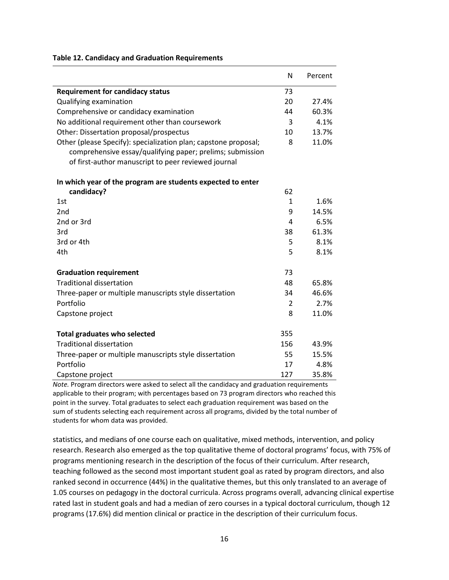## N Percent **Requirement for candidacy status** 73 Qualifying examination 20 27.4% Comprehensive or candidacy examination 44 60.3% No additional requirement other than coursework and the state of  $3$  4.1% Other: Dissertation proposal/prospectus 10 13.7% Other (please Specify): specialization plan; capstone proposal; comprehensive essay/qualifying paper; prelims; submission of first-author manuscript to peer reviewed journal 8 11.0% **In which year of the program are students expected to enter candidacy?** 62 1st  $1 \t 1.6\%$ 2nd 9 14.5%  $2$ nd or 3rd  $4$  6.5% 3rd 38 61.3%  $3rd$  or 4th  $5$  8.1% 4th 5 8.1% **Graduation requirement** 73 Traditional dissertation 48 65.8% Three-paper or multiple manuscripts style dissertation 34 46.6% Portfolio 2 2.7% Capstone project and the contract of the contract of the contract of the contract of the contract of the contract of the contract of the contract of the contract of the contract of the contract of the contract of the contr

#### **Table 12. Candidacy and Graduation Requirements**

| <b>CUPSCOTIC PLOTECT</b>                               |     | 11.VO |
|--------------------------------------------------------|-----|-------|
| Total graduates who selected                           | 355 |       |
| Traditional dissertation                               | 156 | 43.9% |
| Three-paper or multiple manuscripts style dissertation | 55  | 15.5% |
| Portfolio                                              | 17  | 4.8%  |
| Capstone project                                       | 127 | 35.8% |

*Note.* Program directors were asked to select all the candidacy and graduation requirements applicable to their program; with percentages based on 73 program directors who reached this point in the survey. Total graduates to select each graduation requirement was based on the sum of students selecting each requirement across all programs, divided by the total number of students for whom data was provided.

statistics, and medians of one course each on qualitative, mixed methods, intervention, and policy research. Research also emerged as the top qualitative theme of doctoral programs' focus, with 75% of programs mentioning research in the description of the focus of their curriculum. After research, teaching followed as the second most important student goal as rated by program directors, and also ranked second in occurrence (44%) in the qualitative themes, but this only translated to an average of 1.05 courses on pedagogy in the doctoral curricula. Across programs overall, advancing clinical expertise rated last in student goals and had a median of zero courses in a typical doctoral curriculum, though 12 programs (17.6%) did mention clinical or practice in the description of their curriculum focus.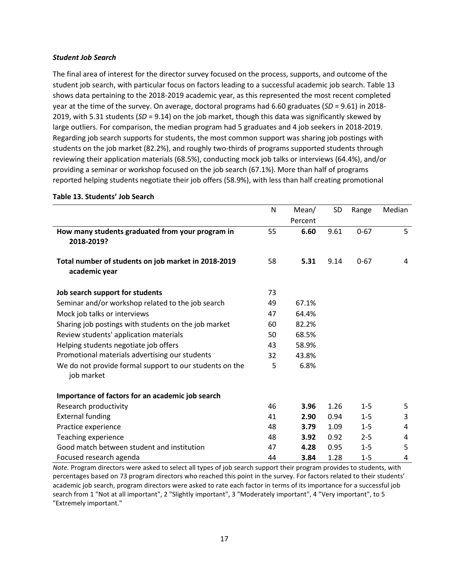#### *Student Job Search*

The final area of interest for the director survey focused on the process, supports, and outcome of the student job search, with particular focus on factors leading to a successful academic job search. Table 13 shows data pertaining to the 2018-2019 academic year, as this represented the most recent completed year at the time of the survey. On average, doctoral programs had 6.60 graduates (*SD* = 9.61) in 2018- 2019, with 5.31 students (*SD* = 9.14) on the job market, though this data was significantly skewed by large outliers. For comparison, the median program had 5 graduates and 4 job seekers in 2018-2019. Regarding job search supports for students, the most common support was sharing job postings with students on the job market (82.2%), and roughly two-thirds of programs supported students through reviewing their application materials (68.5%), conducting mock job talks or interviews (64.4%), and/or providing a seminar or workshop focused on the job search (67.1%). More than half of programs reported helping students negotiate their job offers (58.9%), with less than half creating promotional

|                                                                       | N  | Mean/           | <b>SD</b> | Range    | Median |
|-----------------------------------------------------------------------|----|-----------------|-----------|----------|--------|
| How many students graduated from your program in<br>2018-2019?        | 55 | Percent<br>6.60 | 9.61      | $0 - 67$ | 5      |
| Total number of students on job market in 2018-2019<br>academic year  | 58 | 5.31            | 9.14      | $0 - 67$ | 4      |
| Job search support for students                                       | 73 |                 |           |          |        |
| Seminar and/or workshop related to the job search                     | 49 | 67.1%           |           |          |        |
| Mock job talks or interviews                                          | 47 | 64.4%           |           |          |        |
| Sharing job postings with students on the job market                  | 60 | 82.2%           |           |          |        |
| Review students' application materials                                | 50 | 68.5%           |           |          |        |
| Helping students negotiate job offers                                 | 43 | 58.9%           |           |          |        |
| Promotional materials advertising our students                        | 32 | 43.8%           |           |          |        |
| We do not provide formal support to our students on the<br>job market | 5  | 6.8%            |           |          |        |
| Importance of factors for an academic job search                      |    |                 |           |          |        |
| Research productivity                                                 | 46 | 3.96            | 1.26      | $1 - 5$  | 5      |
| <b>External funding</b>                                               | 41 | 2.90            | 0.94      | $1 - 5$  | 3      |
| Practice experience                                                   | 48 | 3.79            | 1.09      | $1 - 5$  | 4      |
| Teaching experience                                                   | 48 | 3.92            | 0.92      | $2 - 5$  | 4      |
| Good match between student and institution                            | 47 | 4.28            | 0.95      | $1 - 5$  | 5      |
| Focused research agenda                                               | 44 | 3.84            | 1.28      | $1 - 5$  | 4      |

#### **Table 13. Students' Job Search**

*Note.* Program directors were asked to select all types of job search support their program provides to students, with percentages based on 73 program directors who reached this point in the survey. For factors related to their students' academic job search, program directors were asked to rate each factor in terms of its importance for a successful job search from 1 "Not at all important", 2 "Slightly important", 3 "Moderately important", 4 "Very important", to 5 "Extremely important."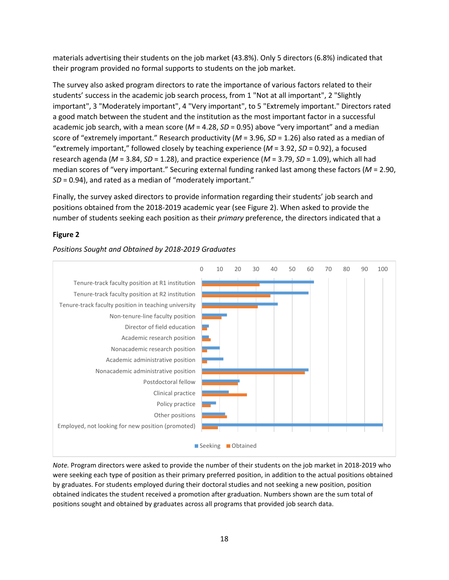materials advertising their students on the job market (43.8%). Only 5 directors (6.8%) indicated that their program provided no formal supports to students on the job market.

The survey also asked program directors to rate the importance of various factors related to their students' success in the academic job search process, from 1 "Not at all important", 2 "Slightly important", 3 "Moderately important", 4 "Very important", to 5 "Extremely important." Directors rated a good match between the student and the institution as the most important factor in a successful academic job search, with a mean score (*M* = 4.28, *SD* = 0.95) above "very important" and a median score of "extremely important." Research productivity (*M* = 3.96, *SD* = 1.26) also rated as a median of "extremely important," followed closely by teaching experience (*M* = 3.92, *SD* = 0.92), a focused research agenda (*M* = 3.84, *SD* = 1.28), and practice experience (*M* = 3.79, *SD* = 1.09), which all had median scores of "very important." Securing external funding ranked last among these factors (*M* = 2.90, *SD* = 0.94), and rated as a median of "moderately important."

Finally, the survey asked directors to provide information regarding their students' job search and positions obtained from the 2018-2019 academic year (see Figure 2). When asked to provide the number of students seeking each position as their *primary* preference, the directors indicated that a

#### **Figure 2**

#### *Positions Sought and Obtained by 2018-2019 Graduates*



*Note.* Program directors were asked to provide the number of their students on the job market in 2018-2019 who were seeking each type of position as their primary preferred position, in addition to the actual positions obtained by graduates. For students employed during their doctoral studies and not seeking a new position, position obtained indicates the student received a promotion after graduation. Numbers shown are the sum total of positions sought and obtained by graduates across all programs that provided job search data.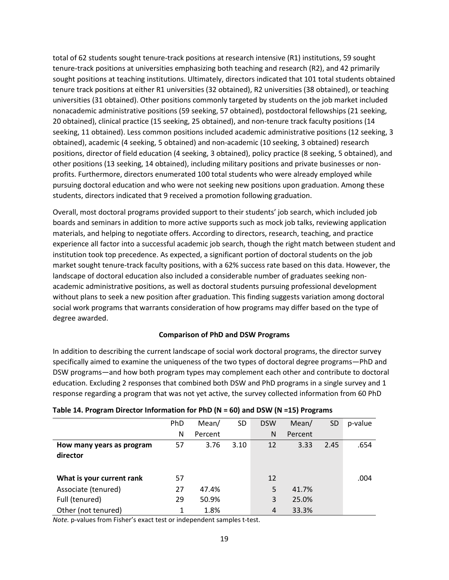total of 62 students sought tenure-track positions at research intensive (R1) institutions, 59 sought tenure-track positions at universities emphasizing both teaching and research (R2), and 42 primarily sought positions at teaching institutions. Ultimately, directors indicated that 101 total students obtained tenure track positions at either R1 universities (32 obtained), R2 universities (38 obtained), or teaching universities (31 obtained). Other positions commonly targeted by students on the job market included nonacademic administrative positions (59 seeking, 57 obtained), postdoctoral fellowships (21 seeking, 20 obtained), clinical practice (15 seeking, 25 obtained), and non-tenure track faculty positions (14 seeking, 11 obtained). Less common positions included academic administrative positions (12 seeking, 3 obtained), academic (4 seeking, 5 obtained) and non-academic (10 seeking, 3 obtained) research positions, director of field education (4 seeking, 3 obtained), policy practice (8 seeking, 5 obtained), and other positions (13 seeking, 14 obtained), including military positions and private businesses or nonprofits. Furthermore, directors enumerated 100 total students who were already employed while pursuing doctoral education and who were not seeking new positions upon graduation. Among these students, directors indicated that 9 received a promotion following graduation.

Overall, most doctoral programs provided support to their students' job search, which included job boards and seminars in addition to more active supports such as mock job talks, reviewing application materials, and helping to negotiate offers. According to directors, research, teaching, and practice experience all factor into a successful academic job search, though the right match between student and institution took top precedence. As expected, a significant portion of doctoral students on the job market sought tenure-track faculty positions, with a 62% success rate based on this data. However, the landscape of doctoral education also included a considerable number of graduates seeking nonacademic administrative positions, as well as doctoral students pursuing professional development without plans to seek a new position after graduation. This finding suggests variation among doctoral social work programs that warrants consideration of how programs may differ based on the type of degree awarded.

#### **Comparison of PhD and DSW Programs**

In addition to describing the current landscape of social work doctoral programs, the director survey specifically aimed to examine the uniqueness of the two types of doctoral degree programs—PhD and DSW programs—and how both program types may complement each other and contribute to doctoral education. Excluding 2 responses that combined both DSW and PhD programs in a single survey and 1 response regarding a program that was not yet active, the survey collected information from 60 PhD

|                           | PhD | Mean/   | SD   | <b>DSW</b> | Mean/   | <b>SD</b> | p-value |
|---------------------------|-----|---------|------|------------|---------|-----------|---------|
|                           | N   | Percent |      | N          | Percent |           |         |
| How many years as program | 57  | 3.76    | 3.10 | 12         | 3.33    | 2.45      | .654    |
| director                  |     |         |      |            |         |           |         |
|                           |     |         |      |            |         |           |         |
| What is your current rank | 57  |         |      | 12         |         |           | .004    |
| Associate (tenured)       | 27  | 47.4%   |      | 5          | 41.7%   |           |         |
| Full (tenured)            | 29  | 50.9%   |      | 3          | 25.0%   |           |         |
| Other (not tenured)       |     | 1.8%    |      | 4          | 33.3%   |           |         |

#### **Table 14. Program Director Information for PhD (N = 60) and DSW (N =15) Programs**

*Note.* p-values from Fisher's exact test or independent samples t-test.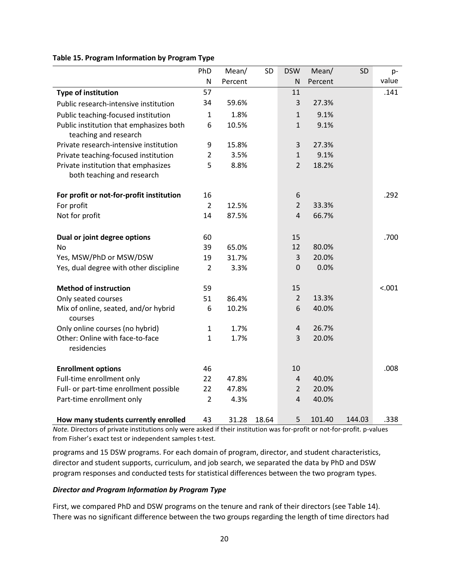#### **Table 15. Program Information by Program Type**

|                                                                   | PhD            | Mean/   | SD    | <b>DSW</b>       | Mean/   | SD     | p-     |
|-------------------------------------------------------------------|----------------|---------|-------|------------------|---------|--------|--------|
|                                                                   | ${\sf N}$      | Percent |       | ${\sf N}$        | Percent |        | value  |
| <b>Type of institution</b>                                        | 57             |         |       | 11               |         |        | .141   |
| Public research-intensive institution                             | 34             | 59.6%   |       | 3                | 27.3%   |        |        |
| Public teaching-focused institution                               | $\mathbf{1}$   | 1.8%    |       | $\mathbf{1}$     | 9.1%    |        |        |
| Public institution that emphasizes both<br>teaching and research  | 6              | 10.5%   |       | $\mathbf{1}$     | 9.1%    |        |        |
| Private research-intensive institution                            | 9              | 15.8%   |       | 3                | 27.3%   |        |        |
| Private teaching-focused institution                              | $\overline{2}$ | 3.5%    |       | $\mathbf{1}$     | 9.1%    |        |        |
| Private institution that emphasizes<br>both teaching and research | 5              | 8.8%    |       | $\overline{2}$   | 18.2%   |        |        |
| For profit or not-for-profit institution                          | 16             |         |       | 6                |         |        | .292   |
| For profit                                                        | $\overline{2}$ | 12.5%   |       | $\overline{2}$   | 33.3%   |        |        |
| Not for profit                                                    | 14             | 87.5%   |       | $\overline{4}$   | 66.7%   |        |        |
| Dual or joint degree options                                      | 60             |         |       | 15               |         |        | .700   |
| No                                                                | 39             | 65.0%   |       | 12               | 80.0%   |        |        |
| Yes, MSW/PhD or MSW/DSW                                           | 19             | 31.7%   |       | 3                | 20.0%   |        |        |
| Yes, dual degree with other discipline                            | $\overline{2}$ | 3.3%    |       | $\boldsymbol{0}$ | 0.0%    |        |        |
| <b>Method of instruction</b>                                      | 59             |         |       | 15               |         |        | < .001 |
| Only seated courses                                               | 51             | 86.4%   |       | $\overline{2}$   | 13.3%   |        |        |
| Mix of online, seated, and/or hybrid<br>courses                   | 6              | 10.2%   |       | 6                | 40.0%   |        |        |
| Only online courses (no hybrid)                                   | $\mathbf{1}$   | 1.7%    |       | $\overline{4}$   | 26.7%   |        |        |
| Other: Online with face-to-face<br>residencies                    | $\mathbf{1}$   | 1.7%    |       | 3                | 20.0%   |        |        |
| <b>Enrollment options</b>                                         | 46             |         |       | 10               |         |        | .008   |
| Full-time enrollment only                                         | 22             | 47.8%   |       | $\overline{4}$   | 40.0%   |        |        |
| Full- or part-time enrollment possible                            | 22             | 47.8%   |       | $\overline{2}$   | 20.0%   |        |        |
| Part-time enrollment only                                         | $\overline{2}$ | 4.3%    |       | 4                | 40.0%   |        |        |
| How many students currently enrolled                              | 43             | 31.28   | 18.64 | 5                | 101.40  | 144.03 | .338   |

*Note.* Directors of private institutions only were asked if their institution was for-profit or not-for-profit. p-values from Fisher's exact test or independent samples t-test.

programs and 15 DSW programs. For each domain of program, director, and student characteristics, director and student supports, curriculum, and job search, we separated the data by PhD and DSW program responses and conducted tests for statistical differences between the two program types.

#### *Director and Program Information by Program Type*

First, we compared PhD and DSW programs on the tenure and rank of their directors (see Table 14). There was no significant difference between the two groups regarding the length of time directors had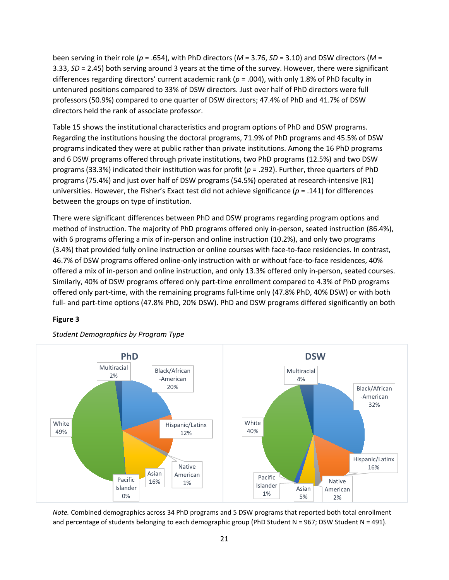been serving in their role (*p* = .654), with PhD directors (*M* = 3.76, *SD* = 3.10) and DSW directors (*M* = 3.33, *SD* = 2.45) both serving around 3 years at the time of the survey. However, there were significant differences regarding directors' current academic rank (*p* = .004), with only 1.8% of PhD faculty in untenured positions compared to 33% of DSW directors. Just over half of PhD directors were full professors (50.9%) compared to one quarter of DSW directors; 47.4% of PhD and 41.7% of DSW directors held the rank of associate professor.

Table 15 shows the institutional characteristics and program options of PhD and DSW programs. Regarding the institutions housing the doctoral programs, 71.9% of PhD programs and 45.5% of DSW programs indicated they were at public rather than private institutions. Among the 16 PhD programs and 6 DSW programs offered through private institutions, two PhD programs (12.5%) and two DSW programs (33.3%) indicated their institution was for profit (*p* = .292). Further, three quarters of PhD programs (75.4%) and just over half of DSW programs (54.5%) operated at research-intensive (R1) universities. However, the Fisher's Exact test did not achieve significance (*p* = .141) for differences between the groups on type of institution.

There were significant differences between PhD and DSW programs regarding program options and method of instruction. The majority of PhD programs offered only in-person, seated instruction (86.4%), with 6 programs offering a mix of in-person and online instruction (10.2%), and only two programs (3.4%) that provided fully online instruction or online courses with face-to-face residencies. In contrast, 46.7% of DSW programs offered online-only instruction with or without face-to-face residences, 40% offered a mix of in-person and online instruction, and only 13.3% offered only in-person, seated courses. Similarly, 40% of DSW programs offered only part-time enrollment compared to 4.3% of PhD programs offered only part-time, with the remaining programs full-time only (47.8% PhD, 40% DSW) or with both full- and part-time options (47.8% PhD, 20% DSW). PhD and DSW programs differed significantly on both

#### **Figure 3**



*Student Demographics by Program Type*

*Note.* Combined demographics across 34 PhD programs and 5 DSW programs that reported both total enrollment and percentage of students belonging to each demographic group (PhD Student N = 967; DSW Student N = 491).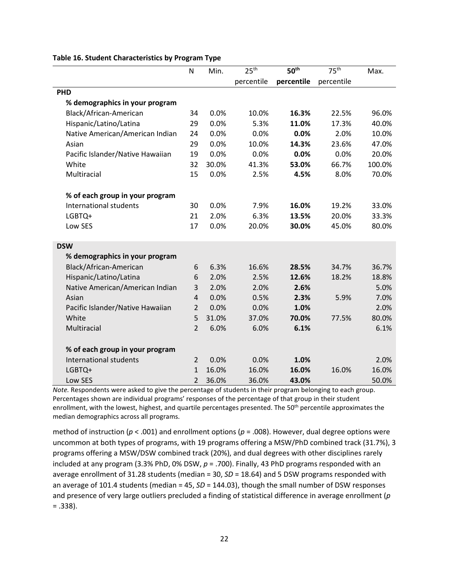|                                  | N              | Min.  | 25 <sup>th</sup> | 50 <sup>th</sup> | 75 <sup>th</sup> | Max.   |
|----------------------------------|----------------|-------|------------------|------------------|------------------|--------|
|                                  |                |       | percentile       | percentile       | percentile       |        |
| <b>PHD</b>                       |                |       |                  |                  |                  |        |
| % demographics in your program   |                |       |                  |                  |                  |        |
| Black/African-American           | 34             | 0.0%  | 10.0%            | 16.3%            | 22.5%            | 96.0%  |
| Hispanic/Latino/Latina           | 29             | 0.0%  | 5.3%             | 11.0%            | 17.3%            | 40.0%  |
| Native American/American Indian  | 24             | 0.0%  | 0.0%             | 0.0%             | 2.0%             | 10.0%  |
| Asian                            | 29             | 0.0%  | 10.0%            | 14.3%            | 23.6%            | 47.0%  |
| Pacific Islander/Native Hawaiian | 19             | 0.0%  | 0.0%             | 0.0%             | 0.0%             | 20.0%  |
| White                            | 32             | 30.0% | 41.3%            | 53.0%            | 66.7%            | 100.0% |
| Multiracial                      | 15             | 0.0%  | 2.5%             | 4.5%             | 8.0%             | 70.0%  |
| % of each group in your program  |                |       |                  |                  |                  |        |
| International students           | 30             | 0.0%  | 7.9%             | 16.0%            | 19.2%            | 33.0%  |
| LGBTQ+                           | 21             | 2.0%  | 6.3%             | 13.5%            | 20.0%            | 33.3%  |
| Low SES                          | 17             | 0.0%  | 20.0%            | 30.0%            | 45.0%            | 80.0%  |
| <b>DSW</b>                       |                |       |                  |                  |                  |        |
| % demographics in your program   |                |       |                  |                  |                  |        |
| Black/African-American           | 6              | 6.3%  | 16.6%            | 28.5%            | 34.7%            | 36.7%  |
| Hispanic/Latino/Latina           | 6              | 2.0%  | 2.5%             | 12.6%            | 18.2%            | 18.8%  |
| Native American/American Indian  | 3              | 2.0%  | 2.0%             | 2.6%             |                  | 5.0%   |
| Asian                            | $\overline{4}$ | 0.0%  | 0.5%             | 2.3%             | 5.9%             | 7.0%   |
| Pacific Islander/Native Hawaiian | $\overline{2}$ | 0.0%  | 0.0%             | 1.0%             |                  | 2.0%   |
| White                            | 5              | 31.0% | 37.0%            | 70.0%            | 77.5%            | 80.0%  |
| Multiracial                      | $\overline{2}$ | 6.0%  | 6.0%             | 6.1%             |                  | 6.1%   |
| % of each group in your program  |                |       |                  |                  |                  |        |
| International students           | $\overline{2}$ | 0.0%  | 0.0%             | 1.0%             |                  | 2.0%   |
| LGBTQ+                           | $\mathbf{1}$   | 16.0% | 16.0%            | 16.0%            | 16.0%            | 16.0%  |
| Low SES                          | $\overline{2}$ | 36.0% | 36.0%            | 43.0%            |                  | 50.0%  |

#### **Table 16. Student Characteristics by Program Type**

*Note.* Respondents were asked to give the percentage of students in their program belonging to each group. Percentages shown are individual programs' responses of the percentage of that group in their student enrollment, with the lowest, highest, and quartile percentages presented. The 50<sup>th</sup> percentile approximates the median demographics across all programs.

method of instruction (*p* < .001) and enrollment options (*p* = .008). However, dual degree options were uncommon at both types of programs, with 19 programs offering a MSW/PhD combined track (31.7%), 3 programs offering a MSW/DSW combined track (20%), and dual degrees with other disciplines rarely included at any program (3.3% PhD, 0% DSW, *p* = .700). Finally, 43 PhD programs responded with an average enrollment of 31.28 students (median = 30, *SD* = 18.64) and 5 DSW programs responded with an average of 101.4 students (median = 45, *SD* = 144.03), though the small number of DSW responses and presence of very large outliers precluded a finding of statistical difference in average enrollment (*p*  = .338).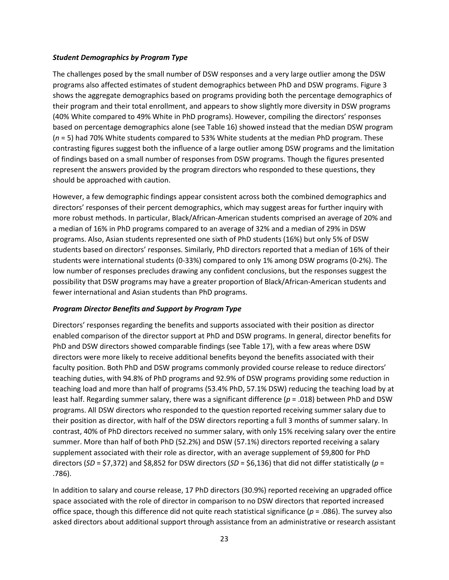#### *Student Demographics by Program Type*

The challenges posed by the small number of DSW responses and a very large outlier among the DSW programs also affected estimates of student demographics between PhD and DSW programs. Figure 3 shows the aggregate demographics based on programs providing both the percentage demographics of their program and their total enrollment, and appears to show slightly more diversity in DSW programs (40% White compared to 49% White in PhD programs). However, compiling the directors' responses based on percentage demographics alone (see Table 16) showed instead that the median DSW program (*n* = 5) had 70% White students compared to 53% White students at the median PhD program. These contrasting figures suggest both the influence of a large outlier among DSW programs and the limitation of findings based on a small number of responses from DSW programs. Though the figures presented represent the answers provided by the program directors who responded to these questions, they should be approached with caution.

However, a few demographic findings appear consistent across both the combined demographics and directors' responses of their percent demographics, which may suggest areas for further inquiry with more robust methods. In particular, Black/African-American students comprised an average of 20% and a median of 16% in PhD programs compared to an average of 32% and a median of 29% in DSW programs. Also, Asian students represented one sixth of PhD students (16%) but only 5% of DSW students based on directors' responses. Similarly, PhD directors reported that a median of 16% of their students were international students (0-33%) compared to only 1% among DSW programs (0-2%). The low number of responses precludes drawing any confident conclusions, but the responses suggest the possibility that DSW programs may have a greater proportion of Black/African-American students and fewer international and Asian students than PhD programs.

#### *Program Director Benefits and Support by Program Type*

Directors' responses regarding the benefits and supports associated with their position as director enabled comparison of the director support at PhD and DSW programs. In general, director benefits for PhD and DSW directors showed comparable findings (see Table 17), with a few areas where DSW directors were more likely to receive additional benefits beyond the benefits associated with their faculty position. Both PhD and DSW programs commonly provided course release to reduce directors' teaching duties, with 94.8% of PhD programs and 92.9% of DSW programs providing some reduction in teaching load and more than half of programs (53.4% PhD, 57.1% DSW) reducing the teaching load by at least half. Regarding summer salary, there was a significant difference (*p* = .018) between PhD and DSW programs. All DSW directors who responded to the question reported receiving summer salary due to their position as director, with half of the DSW directors reporting a full 3 months of summer salary. In contrast, 40% of PhD directors received no summer salary, with only 15% receiving salary over the entire summer. More than half of both PhD (52.2%) and DSW (57.1%) directors reported receiving a salary supplement associated with their role as director, with an average supplement of \$9,800 for PhD directors (*SD* = \$7,372) and \$8,852 for DSW directors (*SD* = \$6,136) that did not differ statistically (*p* = .786).

In addition to salary and course release, 17 PhD directors (30.9%) reported receiving an upgraded office space associated with the role of director in comparison to no DSW directors that reported increased office space, though this difference did not quite reach statistical significance (*p* = .086). The survey also asked directors about additional support through assistance from an administrative or research assistant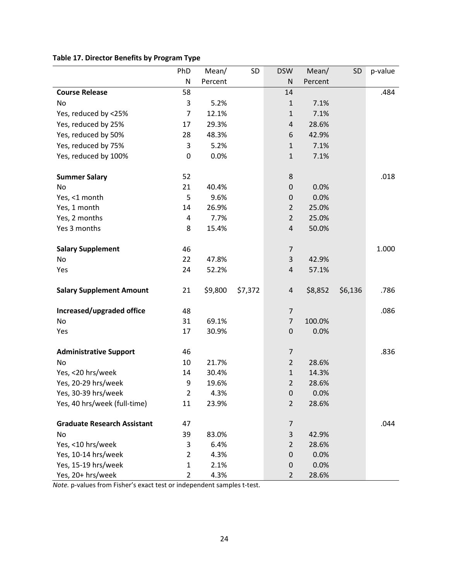## **Table 17. Director Benefits by Program Type**

|                                    | PhD            | Mean/   | SD      | <b>DSW</b>       | Mean/   | <b>SD</b> | p-value |
|------------------------------------|----------------|---------|---------|------------------|---------|-----------|---------|
|                                    | N              | Percent |         | N                | Percent |           |         |
| <b>Course Release</b>              | 58             |         |         | 14               |         |           | .484    |
| No                                 | 3              | 5.2%    |         | $\mathbf{1}$     | 7.1%    |           |         |
| Yes, reduced by <25%               | $\overline{7}$ | 12.1%   |         | $\mathbf{1}$     | 7.1%    |           |         |
| Yes, reduced by 25%                | 17             | 29.3%   |         | $\pmb{4}$        | 28.6%   |           |         |
| Yes, reduced by 50%                | 28             | 48.3%   |         | 6                | 42.9%   |           |         |
| Yes, reduced by 75%                | 3              | 5.2%    |         | $\mathbf{1}$     | 7.1%    |           |         |
| Yes, reduced by 100%               | 0              | 0.0%    |         | $\mathbf{1}$     | 7.1%    |           |         |
| <b>Summer Salary</b>               | 52             |         |         | 8                |         |           | .018    |
| No                                 | 21             | 40.4%   |         | $\pmb{0}$        | 0.0%    |           |         |
| Yes, <1 month                      | 5              | 9.6%    |         | $\boldsymbol{0}$ | 0.0%    |           |         |
| Yes, 1 month                       | 14             | 26.9%   |         | $\overline{2}$   | 25.0%   |           |         |
| Yes, 2 months                      | 4              | 7.7%    |         | $\overline{2}$   | 25.0%   |           |         |
| Yes 3 months                       | 8              | 15.4%   |         | $\sqrt{4}$       | 50.0%   |           |         |
| <b>Salary Supplement</b>           | 46             |         |         | $\overline{7}$   |         |           | 1.000   |
| No                                 | 22             | 47.8%   |         | $\mathsf{3}$     | 42.9%   |           |         |
| Yes                                | 24             | 52.2%   |         | $\sqrt{4}$       | 57.1%   |           |         |
|                                    |                |         |         |                  |         |           |         |
| <b>Salary Supplement Amount</b>    | 21             | \$9,800 | \$7,372 | 4                | \$8,852 | \$6,136   | .786    |
| Increased/upgraded office          | 48             |         |         | $\overline{7}$   |         |           | .086    |
| No                                 | 31             | 69.1%   |         | $\overline{7}$   | 100.0%  |           |         |
| Yes                                | 17             | 30.9%   |         | $\boldsymbol{0}$ | 0.0%    |           |         |
| <b>Administrative Support</b>      | 46             |         |         | $\overline{7}$   |         |           | .836    |
| No                                 | 10             | 21.7%   |         | $\overline{2}$   | 28.6%   |           |         |
| Yes, <20 hrs/week                  | 14             | 30.4%   |         | $\mathbf 1$      | 14.3%   |           |         |
| Yes, 20-29 hrs/week                | 9              | 19.6%   |         | $\overline{2}$   | 28.6%   |           |         |
| Yes, 30-39 hrs/week                | $\overline{2}$ | 4.3%    |         | $\pmb{0}$        | 0.0%    |           |         |
| Yes, 40 hrs/week (full-time)       | 11             | 23.9%   |         | $\overline{2}$   | 28.6%   |           |         |
| <b>Graduate Research Assistant</b> | 47             |         |         | $\overline{7}$   |         |           | .044    |
| No                                 | 39             | 83.0%   |         | 3                | 42.9%   |           |         |
| Yes, <10 hrs/week                  | 3              | 6.4%    |         | $\overline{2}$   | 28.6%   |           |         |
| Yes, 10-14 hrs/week                | 2              | 4.3%    |         | $\boldsymbol{0}$ | 0.0%    |           |         |
| Yes, 15-19 hrs/week                | $\mathbf{1}$   | 2.1%    |         | 0                | 0.0%    |           |         |
| Yes, 20+ hrs/week                  | $\overline{2}$ | 4.3%    |         | $\overline{2}$   | 28.6%   |           |         |

*Note.* p-values from Fisher's exact test or independent samples t-test.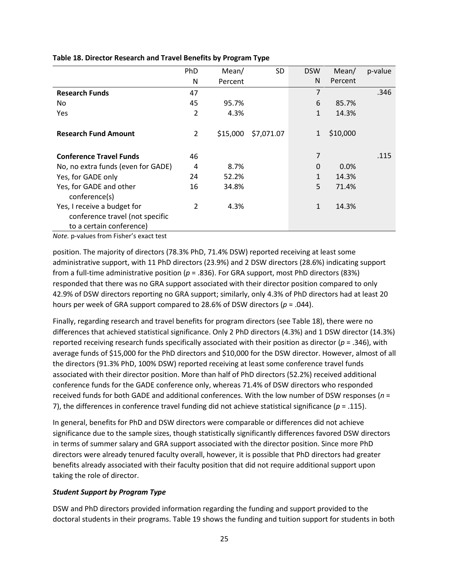|                                    | PhD            | Mean/    | <b>SD</b>  | <b>DSW</b>     | Mean/    | p-value |
|------------------------------------|----------------|----------|------------|----------------|----------|---------|
|                                    | N              | Percent  |            | N              | Percent  |         |
| <b>Research Funds</b>              | 47             |          |            | $\overline{7}$ |          | .346    |
| No.                                | 45             | 95.7%    |            | 6              | 85.7%    |         |
| Yes                                | $\overline{2}$ | 4.3%     |            | 1              | 14.3%    |         |
|                                    |                |          |            |                |          |         |
| <b>Research Fund Amount</b>        | 2              | \$15,000 | \$7,071.07 | 1              | \$10,000 |         |
|                                    |                |          |            |                |          |         |
| <b>Conference Travel Funds</b>     | 46             |          |            | 7              |          | .115    |
| No, no extra funds (even for GADE) | 4              | 8.7%     |            | 0              | 0.0%     |         |
| Yes, for GADE only                 | 24             | 52.2%    |            | 1              | 14.3%    |         |
| Yes, for GADE and other            | 16             | 34.8%    |            | 5              | 71.4%    |         |
| conference(s)                      |                |          |            |                |          |         |
| Yes, I receive a budget for        | $\overline{2}$ | 4.3%     |            | $\mathbf{1}$   | 14.3%    |         |
| conference travel (not specific    |                |          |            |                |          |         |
| to a certain conference)           |                |          |            |                |          |         |

#### **Table 18. Director Research and Travel Benefits by Program Type**

*Note.* p-values from Fisher's exact test

position. The majority of directors (78.3% PhD, 71.4% DSW) reported receiving at least some administrative support, with 11 PhD directors (23.9%) and 2 DSW directors (28.6%) indicating support from a full-time administrative position (*p* = .836). For GRA support, most PhD directors (83%) responded that there was no GRA support associated with their director position compared to only 42.9% of DSW directors reporting no GRA support; similarly, only 4.3% of PhD directors had at least 20 hours per week of GRA support compared to 28.6% of DSW directors (*p* = .044).

Finally, regarding research and travel benefits for program directors (see Table 18), there were no differences that achieved statistical significance. Only 2 PhD directors (4.3%) and 1 DSW director (14.3%) reported receiving research funds specifically associated with their position as director (*p* = .346), with average funds of \$15,000 for the PhD directors and \$10,000 for the DSW director. However, almost of all the directors (91.3% PhD, 100% DSW) reported receiving at least some conference travel funds associated with their director position. More than half of PhD directors (52.2%) received additional conference funds for the GADE conference only, whereas 71.4% of DSW directors who responded received funds for both GADE and additional conferences. With the low number of DSW responses (*n* = 7), the differences in conference travel funding did not achieve statistical significance ( $p = .115$ ).

In general, benefits for PhD and DSW directors were comparable or differences did not achieve significance due to the sample sizes, though statistically significantly differences favored DSW directors in terms of summer salary and GRA support associated with the director position. Since more PhD directors were already tenured faculty overall, however, it is possible that PhD directors had greater benefits already associated with their faculty position that did not require additional support upon taking the role of director.

#### *Student Support by Program Type*

DSW and PhD directors provided information regarding the funding and support provided to the doctoral students in their programs. Table 19 shows the funding and tuition support for students in both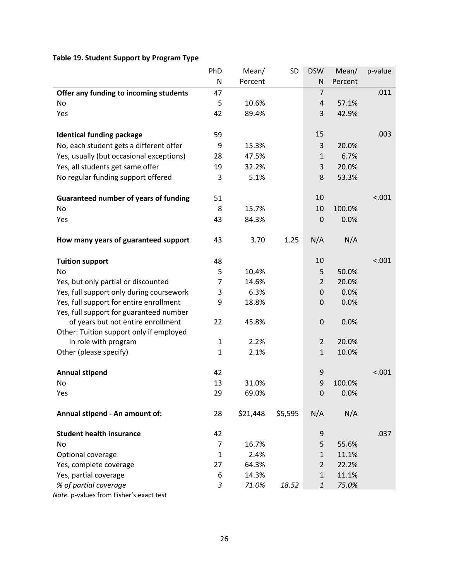## **Table 19. Student Support by Program Type**

|                                              | PhD          | Mean/    | SD      | <b>DSW</b>     | Mean/   | p-value |
|----------------------------------------------|--------------|----------|---------|----------------|---------|---------|
|                                              | N            | Percent  |         | N              | Percent |         |
| Offer any funding to incoming students       | 47           |          |         | $\overline{7}$ |         | .011    |
| No                                           | 5            | 10.6%    |         | 4              | 57.1%   |         |
| Yes                                          | 42           | 89.4%    |         | 3              | 42.9%   |         |
|                                              |              |          |         |                |         |         |
| <b>Identical funding package</b>             | 59           |          |         | 15             |         | .003    |
| No, each student gets a different offer      | 9            | 15.3%    |         | 3              | 20.0%   |         |
| Yes, usually (but occasional exceptions)     | 28           | 47.5%    |         | $\mathbf{1}$   | 6.7%    |         |
| Yes, all students get same offer             | 19           | 32.2%    |         | 3              | 20.0%   |         |
| No regular funding support offered           | 3            | 5.1%     |         | 8              | 53.3%   |         |
| <b>Guaranteed number of years of funding</b> | 51           |          |         | 10             |         | < .001  |
| No                                           | 8            | 15.7%    |         | 10             | 100.0%  |         |
| Yes                                          | 43           | 84.3%    |         | 0              | 0.0%    |         |
|                                              |              |          |         |                |         |         |
| How many years of guaranteed support         | 43           | 3.70     | 1.25    | N/A            | N/A     |         |
| <b>Tuition support</b>                       | 48           |          |         | 10             |         | < .001  |
| No                                           | 5            | 10.4%    |         | 5              | 50.0%   |         |
| Yes, but only partial or discounted          | 7            | 14.6%    |         | $\overline{2}$ | 20.0%   |         |
| Yes, full support only during coursework     | 3            | 6.3%     |         | 0              | 0.0%    |         |
| Yes, full support for entire enrollment      | 9            | 18.8%    |         | 0              | 0.0%    |         |
| Yes, full support for guaranteed number      |              |          |         |                |         |         |
| of years but not entire enrollment           | 22           | 45.8%    |         | 0              | 0.0%    |         |
| Other: Tuition support only if employed      |              |          |         |                |         |         |
| in role with program                         | $\mathbf{1}$ | 2.2%     |         | $\overline{2}$ | 20.0%   |         |
| Other (please specify)                       | $\mathbf{1}$ | 2.1%     |         | $\mathbf{1}$   | 10.0%   |         |
| <b>Annual stipend</b>                        | 42           |          |         | 9              |         | < .001  |
| No                                           | 13           | 31.0%    |         | 9              | 100.0%  |         |
| Yes                                          | 29           | 69.0%    |         | 0              | 0.0%    |         |
| Annual stipend - An amount of:               | 28           | \$21,448 | \$5,595 | N/A            | N/A     |         |
|                                              |              |          |         |                |         |         |
| <b>Student health insurance</b>              | 42           |          |         | 9              |         | .037    |
| No                                           | 7            | 16.7%    |         | 5              | 55.6%   |         |
| Optional coverage                            | $\mathbf{1}$ | 2.4%     |         | $\mathbf{1}$   | 11.1%   |         |
| Yes, complete coverage                       | 27           | 64.3%    |         | $\overline{2}$ | 22.2%   |         |
| Yes, partial coverage                        | 6            | 14.3%    |         | $\mathbf{1}$   | 11.1%   |         |
| % of partial coverage                        | 3            | 71.0%    | 18.52   | $\mathbf{1}$   | 75.0%   |         |

*Note.* p-values from Fisher's exact test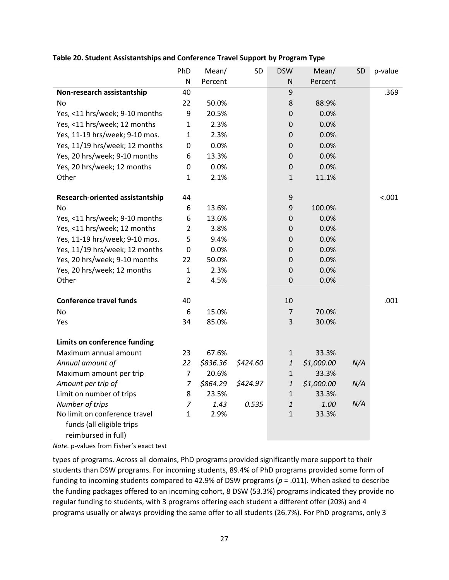|                                 | PhD            | Mean/    | <b>SD</b> | <b>DSW</b>                | Mean/      | SD  | p-value |
|---------------------------------|----------------|----------|-----------|---------------------------|------------|-----|---------|
|                                 | N              | Percent  |           | ${\sf N}$                 | Percent    |     |         |
| Non-research assistantship      | 40             |          |           | 9                         |            |     | .369    |
| No                              | 22             | 50.0%    |           | 8                         | 88.9%      |     |         |
| Yes, <11 hrs/week; 9-10 months  | 9              | 20.5%    |           | $\mathbf 0$               | 0.0%       |     |         |
| Yes, <11 hrs/week; 12 months    | $\mathbf{1}$   | 2.3%     |           | $\pmb{0}$                 | 0.0%       |     |         |
| Yes, 11-19 hrs/week; 9-10 mos.  | $\mathbf{1}$   | 2.3%     |           | $\mathbf 0$               | 0.0%       |     |         |
| Yes, 11/19 hrs/week; 12 months  | 0              | 0.0%     |           | 0                         | 0.0%       |     |         |
| Yes, 20 hrs/week; 9-10 months   | 6              | 13.3%    |           | 0                         | 0.0%       |     |         |
| Yes, 20 hrs/week; 12 months     | $\pmb{0}$      | 0.0%     |           | $\boldsymbol{0}$          | 0.0%       |     |         |
| Other                           | 1              | 2.1%     |           | $\mathbf{1}$              | 11.1%      |     |         |
| Research-oriented assistantship | 44             |          |           | 9                         |            |     | < .001  |
| <b>No</b>                       | 6              | 13.6%    |           | 9                         | 100.0%     |     |         |
| Yes, <11 hrs/week; 9-10 months  | 6              | 13.6%    |           | $\pmb{0}$                 | 0.0%       |     |         |
| Yes, <11 hrs/week; 12 months    | $\overline{2}$ | 3.8%     |           | $\mathbf 0$               | 0.0%       |     |         |
| Yes, 11-19 hrs/week; 9-10 mos.  | 5              | 9.4%     |           | $\mathbf 0$               | 0.0%       |     |         |
| Yes, 11/19 hrs/week; 12 months  | $\pmb{0}$      | 0.0%     |           | $\mathbf 0$               | 0.0%       |     |         |
| Yes, 20 hrs/week; 9-10 months   | 22             | 50.0%    |           | $\pmb{0}$                 | 0.0%       |     |         |
| Yes, 20 hrs/week; 12 months     | $\mathbf{1}$   | 2.3%     |           | $\mathbf 0$               | 0.0%       |     |         |
| Other                           | $\overline{2}$ | 4.5%     |           | $\mathbf 0$               | 0.0%       |     |         |
| <b>Conference travel funds</b>  | 40             |          |           | 10                        |            |     | .001    |
| <b>No</b>                       | 6              | 15.0%    |           | 7                         | 70.0%      |     |         |
| Yes                             | 34             | 85.0%    |           | 3                         | 30.0%      |     |         |
| Limits on conference funding    |                |          |           |                           |            |     |         |
| Maximum annual amount           | 23             | 67.6%    |           | $\mathbf{1}$              | 33.3%      |     |         |
| Annual amount of                | 22             | \$836.36 | \$424.60  | $\ensuremath{\mathbf{1}}$ | \$1,000.00 | N/A |         |
| Maximum amount per trip         | 7              | 20.6%    |           | $\mathbf 1$               | 33.3%      |     |         |
| Amount per trip of              | $\overline{7}$ | \$864.29 | \$424.97  | $\boldsymbol{1}$          | \$1,000.00 | N/A |         |
| Limit on number of trips        | 8              | 23.5%    |           | $\mathbf{1}$              | 33.3%      |     |         |
| Number of trips                 | 7              | 1.43     | 0.535     | $\mathbf{1}$              | 1.00       | N/A |         |
| No limit on conference travel   | $\mathbf{1}$   | 2.9%     |           | $\mathbf{1}$              | 33.3%      |     |         |
| funds (all eligible trips       |                |          |           |                           |            |     |         |
| reimbursed in full)             |                |          |           |                           |            |     |         |

#### **Table 20. Student Assistantships and Conference Travel Support by Program Type**

*Note.* p-values from Fisher's exact test

types of programs. Across all domains, PhD programs provided significantly more support to their students than DSW programs. For incoming students, 89.4% of PhD programs provided some form of funding to incoming students compared to 42.9% of DSW programs (*p* = .011). When asked to describe the funding packages offered to an incoming cohort, 8 DSW (53.3%) programs indicated they provide no regular funding to students, with 3 programs offering each student a different offer (20%) and 4 programs usually or always providing the same offer to all students (26.7%). For PhD programs, only 3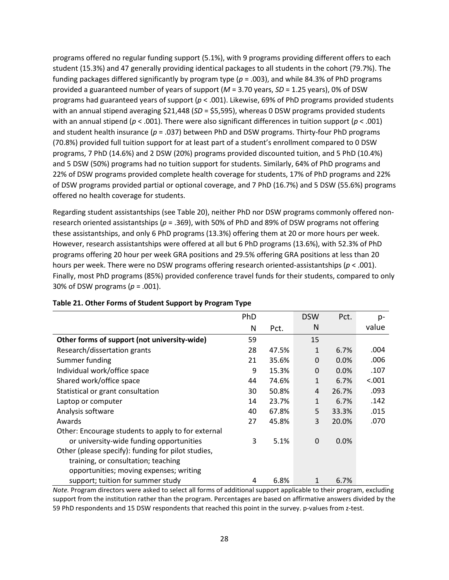programs offered no regular funding support (5.1%), with 9 programs providing different offers to each student (15.3%) and 47 generally providing identical packages to all students in the cohort (79.7%). The funding packages differed significantly by program type (*p* = .003), and while 84.3% of PhD programs provided a guaranteed number of years of support (*M* = 3.70 years, *SD* = 1.25 years), 0% of DSW programs had guaranteed years of support (*p* < .001). Likewise, 69% of PhD programs provided students with an annual stipend averaging \$21,448 (*SD* = \$5,595), whereas 0 DSW programs provided students with an annual stipend (*p* < .001). There were also significant differences in tuition support (*p* < .001) and student health insurance (*p* = .037) between PhD and DSW programs. Thirty-four PhD programs (70.8%) provided full tuition support for at least part of a student's enrollment compared to 0 DSW programs, 7 PhD (14.6%) and 2 DSW (20%) programs provided discounted tuition, and 5 PhD (10.4%) and 5 DSW (50%) programs had no tuition support for students. Similarly, 64% of PhD programs and 22% of DSW programs provided complete health coverage for students, 17% of PhD programs and 22% of DSW programs provided partial or optional coverage, and 7 PhD (16.7%) and 5 DSW (55.6%) programs offered no health coverage for students.

Regarding student assistantships (see Table 20), neither PhD nor DSW programs commonly offered nonresearch oriented assistantships (*p* = .369), with 50% of PhD and 89% of DSW programs not offering these assistantships, and only 6 PhD programs (13.3%) offering them at 20 or more hours per week. However, research assistantships were offered at all but 6 PhD programs (13.6%), with 52.3% of PhD programs offering 20 hour per week GRA positions and 29.5% offering GRA positions at less than 20 hours per week. There were no DSW programs offering research oriented-assistantships (*p* < .001). Finally, most PhD programs (85%) provided conference travel funds for their students, compared to only 30% of DSW programs (*p* = .001).

|                                                                                                | PhD |       | <b>DSW</b>   | Pct.  | p-     |
|------------------------------------------------------------------------------------------------|-----|-------|--------------|-------|--------|
|                                                                                                | N   | Pct.  | N            |       | value  |
| Other forms of support (not university-wide)                                                   | 59  |       | 15           |       |        |
| Research/dissertation grants                                                                   | 28  | 47.5% | 1            | 6.7%  | .004   |
| Summer funding                                                                                 | 21  | 35.6% | 0            | 0.0%  | .006   |
| Individual work/office space                                                                   | 9   | 15.3% | 0            | 0.0%  | .107   |
| Shared work/office space                                                                       | 44  | 74.6% | $\mathbf{1}$ | 6.7%  | < .001 |
| Statistical or grant consultation                                                              | 30  | 50.8% | 4            | 26.7% | .093   |
| Laptop or computer                                                                             | 14  | 23.7% | $\mathbf{1}$ | 6.7%  | .142   |
| Analysis software                                                                              | 40  | 67.8% | 5            | 33.3% | .015   |
| Awards                                                                                         | 27  | 45.8% | 3            | 20.0% | .070   |
| Other: Encourage students to apply to for external<br>or university-wide funding opportunities | 3   | 5.1%  | $\Omega$     | 0.0%  |        |
| Other (please specify): funding for pilot studies,                                             |     |       |              |       |        |
| training, or consultation; teaching                                                            |     |       |              |       |        |
| opportunities; moving expenses; writing                                                        |     |       |              |       |        |
| support; tuition for summer study                                                              | 4   | 6.8%  | 1            | 6.7%  |        |

#### **Table 21. Other Forms of Student Support by Program Type**

*Note.* Program directors were asked to select all forms of additional support applicable to their program, excluding support from the institution rather than the program. Percentages are based on affirmative answers divided by the 59 PhD respondents and 15 DSW respondents that reached this point in the survey. p-values from z-test.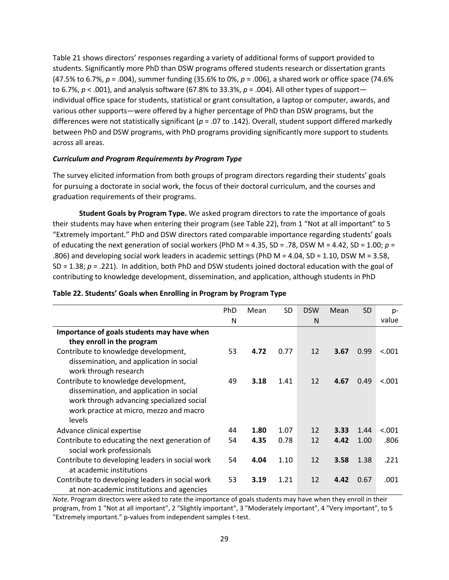Table 21 shows directors' responses regarding a variety of additional forms of support provided to students. Significantly more PhD than DSW programs offered students research or dissertation grants (47.5% to 6.7%, *p* = .004), summer funding (35.6% to 0%, *p* = .006), a shared work or office space (74.6% to 6.7%, *p* < .001), and analysis software (67.8% to 33.3%, *p* = .004). All other types of support individual office space for students, statistical or grant consultation, a laptop or computer, awards, and various other supports—were offered by a higher percentage of PhD than DSW programs, but the differences were not statistically significant (*p* = .07 to .142). Overall, student support differed markedly between PhD and DSW programs, with PhD programs providing significantly more support to students across all areas.

#### *Curriculum and Program Requirements by Program Type*

The survey elicited information from both groups of program directors regarding their students' goals for pursuing a doctorate in social work, the focus of their doctoral curriculum, and the courses and graduation requirements of their programs.

**Student Goals by Program Type.** We asked program directors to rate the importance of goals their students may have when entering their program (see Table 22), from 1 "Not at all important" to 5 "Extremely important." PhD and DSW directors rated comparable importance regarding students' goals of educating the next generation of social workers (PhD M = 4.35, SD = .78, DSW M = 4.42, SD = 1.00; *p* = .806) and developing social work leaders in academic settings (PhD M = 4.04, SD = 1.10, DSW M = 3.58, SD = 1.38; *p* = .221). In addition, both PhD and DSW students joined doctoral education with the goal of contributing to knowledge development, dissemination, and application, although students in PhD

|                                                                   | PhD | Mean | <b>SD</b> | <b>DSW</b> | Mean | <b>SD</b> | $p-$   |
|-------------------------------------------------------------------|-----|------|-----------|------------|------|-----------|--------|
|                                                                   | N   |      |           | N          |      |           | value  |
| Importance of goals students may have when                        |     |      |           |            |      |           |        |
| they enroll in the program                                        |     |      |           |            |      |           |        |
| Contribute to knowledge development,                              | 53  | 4.72 | 0.77      | 12         | 3.67 | 0.99      | < .001 |
| dissemination, and application in social<br>work through research |     |      |           |            |      |           |        |
| Contribute to knowledge development,                              | 49  | 3.18 | 1.41      | 12         | 4.67 | 0.49      | < .001 |
| dissemination, and application in social                          |     |      |           |            |      |           |        |
| work through advancing specialized social                         |     |      |           |            |      |           |        |
| work practice at micro, mezzo and macro                           |     |      |           |            |      |           |        |
| levels                                                            |     |      |           |            |      |           |        |
| Advance clinical expertise                                        | 44  | 1.80 | 1.07      | 12         | 3.33 | 1.44      | < .001 |
| Contribute to educating the next generation of                    | 54  | 4.35 | 0.78      | 12         | 4.42 | 1.00      | .806   |
| social work professionals                                         |     |      |           |            |      |           |        |
| Contribute to developing leaders in social work                   | 54  | 4.04 | 1.10      | 12         | 3.58 | 1.38      | .221   |
| at academic institutions                                          |     |      |           |            |      |           |        |
| Contribute to developing leaders in social work                   | 53  | 3.19 | 1.21      | 12         | 4.42 | 0.67      | .001   |
| at non-academic institutions and agencies                         |     |      |           |            |      |           |        |

#### **Table 22. Students' Goals when Enrolling in Program by Program Type**

*Note.* Program directors were asked to rate the importance of goals students may have when they enroll in their program, from 1 "Not at all important", 2 "Slightly important", 3 "Moderately important", 4 "Very important", to 5 "Extremely important." p-values from independent samples t-test.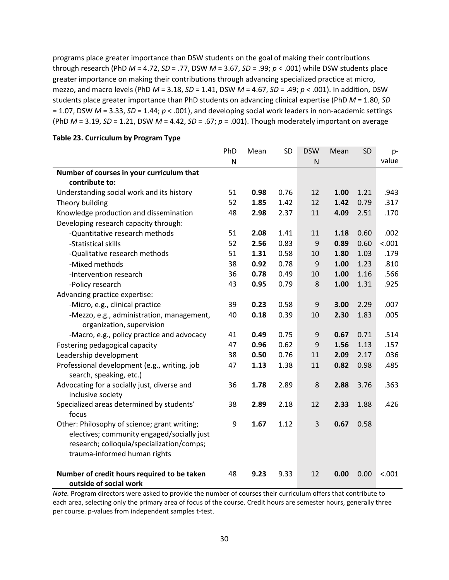programs place greater importance than DSW students on the goal of making their contributions through research (PhD *M* = 4.72, *SD* = .77, DSW *M* = 3.67, *SD* = .99; *p* < .001) while DSW students place greater importance on making their contributions through advancing specialized practice at micro, mezzo, and macro levels (PhD *M* = 3.18, *SD* = 1.41, DSW *M* = 4.67, *SD* = .49; *p* < .001). In addition, DSW students place greater importance than PhD students on advancing clinical expertise (PhD *M* = 1.80, *SD* = 1.07, DSW *M* = 3.33, *SD* = 1.44; *p* < .001), and developing social work leaders in non-academic settings (PhD *M* = 3.19, *SD* = 1.21, DSW *M* = 4.42, *SD* = .67; *p* = .001). Though moderately important on average

|                                                 |                      | <b>SD</b>                    |                      | Mean          |                                    | p-                         |
|-------------------------------------------------|----------------------|------------------------------|----------------------|---------------|------------------------------------|----------------------------|
| N                                               |                      |                              | N                    |               |                                    | value                      |
|                                                 |                      |                              |                      |               |                                    |                            |
|                                                 |                      |                              |                      |               |                                    |                            |
| 51                                              | 0.98                 | 0.76                         | 12                   | 1.00          | 1.21                               | .943                       |
| 52                                              | 1.85                 | 1.42                         | 12                   | 1.42          | 0.79                               | .317                       |
| 48                                              | 2.98                 | 2.37                         | 11                   | 4.09          | 2.51                               | .170                       |
|                                                 |                      |                              |                      |               |                                    |                            |
| 51                                              | 2.08                 | 1.41                         | 11                   | 1.18          | 0.60                               | .002                       |
| 52                                              | 2.56                 | 0.83                         | 9                    | 0.89          | 0.60                               | < .001                     |
| 51                                              | 1.31                 | 0.58                         | 10                   | 1.80          | 1.03                               | .179                       |
| 38                                              | 0.92                 | 0.78                         | 9                    | 1.00          | 1.23                               | .810                       |
| 36                                              | 0.78                 | 0.49                         | 10                   | 1.00          | 1.16                               | .566                       |
| 43                                              | 0.95                 | 0.79                         | 8                    | 1.00          | 1.31                               | .925                       |
|                                                 |                      |                              |                      |               |                                    |                            |
| 39                                              | 0.23                 | 0.58                         | 9                    | 3.00          | 2.29                               | .007                       |
| -Mezzo, e.g., administration, management,<br>40 | 0.18                 | 0.39                         | 10                   | 2.30          | 1.83                               | .005                       |
|                                                 |                      |                              |                      |               |                                    |                            |
| 41                                              | 0.49                 | 0.75                         | 9                    | 0.67          | 0.71                               | .514                       |
| 47                                              | 0.96                 | 0.62                         | 9                    | 1.56          | 1.13                               | .157                       |
| 38                                              | 0.50                 | 0.76                         | 11                   | 2.09          | 2.17                               | .036                       |
| 47                                              | 1.13                 | 1.38                         | 11                   | 0.82          | 0.98                               | .485                       |
|                                                 |                      |                              |                      |               |                                    |                            |
| 36                                              | 1.78                 | 2.89                         | 8                    | 2.88          | 3.76                               | .363                       |
|                                                 |                      |                              |                      |               |                                    |                            |
|                                                 |                      |                              |                      |               |                                    | .426                       |
|                                                 |                      |                              |                      |               |                                    |                            |
|                                                 |                      |                              |                      |               |                                    |                            |
| electives; community engaged/socially just      |                      |                              |                      |               |                                    |                            |
|                                                 |                      |                              |                      |               |                                    |                            |
|                                                 |                      |                              |                      |               |                                    |                            |
|                                                 |                      |                              |                      |               |                                    |                            |
|                                                 |                      |                              |                      |               |                                    | < .001                     |
|                                                 | PhD<br>38<br>9<br>48 | Mean<br>2.89<br>1.67<br>9.23 | 2.18<br>1.12<br>9.33 | 12<br>3<br>12 | <b>DSW</b><br>2.33<br>0.67<br>0.00 | SD<br>1.88<br>0.58<br>0.00 |

#### **Table 23. Curriculum by Program Type**

*Note.* Program directors were asked to provide the number of courses their curriculum offers that contribute to each area, selecting only the primary area of focus of the course. Credit hours are semester hours, generally three per course. p-values from independent samples t-test.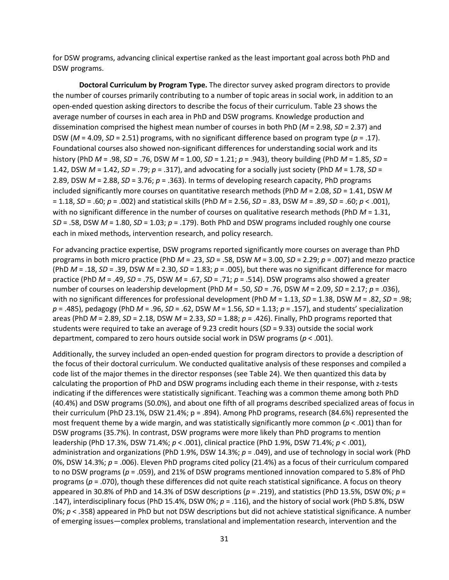for DSW programs, advancing clinical expertise ranked as the least important goal across both PhD and DSW programs.

**Doctoral Curriculum by Program Type.** The director survey asked program directors to provide the number of courses primarily contributing to a number of topic areas in social work, in addition to an open-ended question asking directors to describe the focus of their curriculum. Table 23 shows the average number of courses in each area in PhD and DSW programs. Knowledge production and dissemination comprised the highest mean number of courses in both PhD (*M* = 2.98, *SD* = 2.37) and DSW ( $M = 4.09$ ,  $SD = 2.51$ ) programs, with no significant difference based on program type ( $p = .17$ ). Foundational courses also showed non-significant differences for understanding social work and its history (PhD *M* = .98, *SD* = .76, DSW *M* = 1.00, *SD* = 1.21; *p* = .943), theory building (PhD *M* = 1.85, *SD* = 1.42, DSW *M* = 1.42, *SD* = .79; *p* = .317), and advocating for a socially just society (PhD *M* = 1.78, *SD* = 2.89, DSW *M* = 2.88, *SD* = 3.76; *p* = .363). In terms of developing research capacity, PhD programs included significantly more courses on quantitative research methods (PhD *M* = 2.08, *SD* = 1.41, DSW *M*  = 1.18, *SD* = .60; *p* = .002) and statistical skills (PhD *M* = 2.56, *SD* = .83, DSW *M* = .89, *SD* = .60; *p* < .001), with no significant difference in the number of courses on qualitative research methods (PhD *M* = 1.31, *SD* = .58, DSW *M* = 1.80, *SD* = 1.03; *p* = .179). Both PhD and DSW programs included roughly one course each in mixed methods, intervention research, and policy research.

For advancing practice expertise, DSW programs reported significantly more courses on average than PhD programs in both micro practice (PhD *M* = .23, *SD* = .58, DSW *M* = 3.00, *SD* = 2.29; *p* = .007) and mezzo practice (PhD *M* = .18, *SD* = .39, DSW *M* = 2.30, *SD* = 1.83; *p* = .005), but there was no significant difference for macro practice (PhD *M* = .49, *SD* = .75, DSW *M* = .67, *SD* = .71; *p* = .514). DSW programs also showed a greater number of courses on leadership development (PhD *M* = .50, *SD* = .76, DSW *M* = 2.09, *SD* = 2.17; *p* = .036), with no significant differences for professional development (PhD *M* = 1.13, *SD* = 1.38, DSW *M* = .82, *SD* = .98; *p* = .485), pedagogy (PhD *M* = .96, *SD* = .62, DSW *M* = 1.56, *SD* = 1.13; *p* = .157), and students' specialization areas (PhD *M* = 2.89, *SD* = 2.18, DSW *M* = 2.33, *SD* = 1.88; *p* = .426). Finally, PhD programs reported that students were required to take an average of 9.23 credit hours (*SD* = 9.33) outside the social work department, compared to zero hours outside social work in DSW programs (*p* < .001).

Additionally, the survey included an open-ended question for program directors to provide a description of the focus of their doctoral curriculum. We conducted qualitative analysis of these responses and compiled a code list of the major themes in the director responses (see Table 24). We then quantized this data by calculating the proportion of PhD and DSW programs including each theme in their response, with z-tests indicating if the differences were statistically significant. Teaching was a common theme among both PhD (40.4%) and DSW programs (50.0%), and about one fifth of all programs described specialized areas of focus in their curriculum (PhD 23.1%, DSW 21.4%; p = .894). Among PhD programs, research (84.6%) represented the most frequent theme by a wide margin, and was statistically significantly more common (*p* < .001) than for DSW programs (35.7%). In contrast, DSW programs were more likely than PhD programs to mention leadership (PhD 17.3%, DSW 71.4%; *p* < .001), clinical practice (PhD 1.9%, DSW 71.4%; *p* < .001), administration and organizations (PhD 1.9%, DSW 14.3%; *p* = .049), and use of technology in social work (PhD 0%, DSW 14.3%; *p* = .006). Eleven PhD programs cited policy (21.4%) as a focus of their curriculum compared to no DSW programs (*p* = .059), and 21% of DSW programs mentioned innovation compared to 5.8% of PhD programs (*p* = .070), though these differences did not quite reach statistical significance. A focus on theory appeared in 30.8% of PhD and 14.3% of DSW descriptions (*p* = .219), and statistics (PhD 13.5%, DSW 0%; *p* = .147), interdisciplinary focus (PhD 15.4%, DSW 0%; *p* = .116), and the history of social work (PhD 5.8%, DSW 0%;  $p <$  .358) appeared in PhD but not DSW descriptions but did not achieve statistical significance. A number of emerging issues—complex problems, translational and implementation research, intervention and the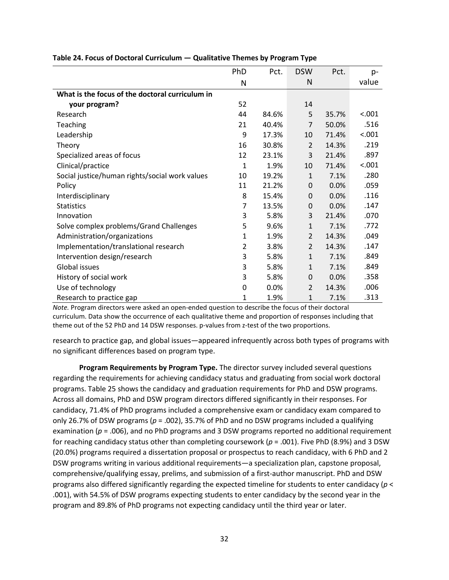|                                                 | PhD | Pct.  | <b>DSW</b>     | Pct.  | p-     |
|-------------------------------------------------|-----|-------|----------------|-------|--------|
|                                                 | N   |       | N              |       | value  |
| What is the focus of the doctoral curriculum in |     |       |                |       |        |
| your program?                                   | 52  |       | 14             |       |        |
| Research                                        | 44  | 84.6% | 5              | 35.7% | < .001 |
| Teaching                                        | 21  | 40.4% | $\overline{7}$ | 50.0% | .516   |
| Leadership                                      | 9   | 17.3% | 10             | 71.4% | < .001 |
| Theory                                          | 16  | 30.8% | $\overline{2}$ | 14.3% | .219   |
| Specialized areas of focus                      | 12  | 23.1% | 3              | 21.4% | .897   |
| Clinical/practice                               | 1   | 1.9%  | 10             | 71.4% | < .001 |
| Social justice/human rights/social work values  | 10  | 19.2% | 1              | 7.1%  | .280   |
| Policy                                          | 11  | 21.2% | $\mathbf 0$    | 0.0%  | .059   |
| Interdisciplinary                               | 8   | 15.4% | $\mathbf 0$    | 0.0%  | .116   |
| <b>Statistics</b>                               | 7   | 13.5% | $\mathbf 0$    | 0.0%  | .147   |
| Innovation                                      | 3   | 5.8%  | 3              | 21.4% | .070   |
| Solve complex problems/Grand Challenges         | 5   | 9.6%  | 1              | 7.1%  | .772   |
| Administration/organizations                    | 1   | 1.9%  | $\overline{2}$ | 14.3% | .049   |
| Implementation/translational research           | 2   | 3.8%  | $\overline{2}$ | 14.3% | .147   |
| Intervention design/research                    | 3   | 5.8%  | 1              | 7.1%  | .849   |
| <b>Global issues</b>                            | 3   | 5.8%  | 1              | 7.1%  | .849   |
| History of social work                          | 3   | 5.8%  | $\mathbf 0$    | 0.0%  | .358   |
| Use of technology                               | 0   | 0.0%  | 2              | 14.3% | .006   |
| Research to practice gap                        | 1   | 1.9%  | 1              | 7.1%  | .313   |

#### **Table 24. Focus of Doctoral Curriculum — Qualitative Themes by Program Type**

*Note.* Program directors were asked an open-ended question to describe the focus of their doctoral curriculum. Data show the occurrence of each qualitative theme and proportion of responses including that theme out of the 52 PhD and 14 DSW responses. p-values from z-test of the two proportions.

research to practice gap, and global issues—appeared infrequently across both types of programs with no significant differences based on program type.

**Program Requirements by Program Type.** The director survey included several questions regarding the requirements for achieving candidacy status and graduating from social work doctoral programs. Table 25 shows the candidacy and graduation requirements for PhD and DSW programs. Across all domains, PhD and DSW program directors differed significantly in their responses. For candidacy, 71.4% of PhD programs included a comprehensive exam or candidacy exam compared to only 26.7% of DSW programs (*p* = .002), 35.7% of PhD and no DSW programs included a qualifying examination (*p* = .006), and no PhD programs and 3 DSW programs reported no additional requirement for reaching candidacy status other than completing coursework ( $p = .001$ ). Five PhD (8.9%) and 3 DSW (20.0%) programs required a dissertation proposal or prospectus to reach candidacy, with 6 PhD and 2 DSW programs writing in various additional requirements—a specialization plan, capstone proposal, comprehensive/qualifying essay, prelims, and submission of a first-author manuscript. PhD and DSW programs also differed significantly regarding the expected timeline for students to enter candidacy (*p* < .001), with 54.5% of DSW programs expecting students to enter candidacy by the second year in the program and 89.8% of PhD programs not expecting candidacy until the third year or later.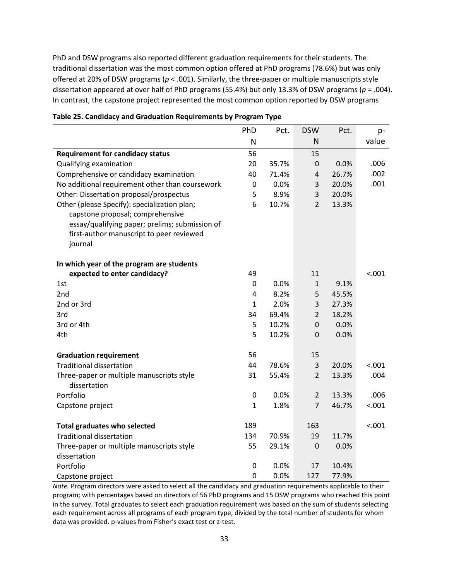PhD and DSW programs also reported different graduation requirements for their students. The traditional dissertation was the most common option offered at PhD programs (78.6%) but was only offered at 20% of DSW programs (*p* < .001). Similarly, the three-paper or multiple manuscripts style dissertation appeared at over half of PhD programs (55.4%) but only 13.3% of DSW programs (*p* = .004). In contrast, the capstone project represented the most common option reported by DSW programs

| PhD            | Pct.                  | <b>DSW</b>                     | Pct.                                       | p-                              |
|----------------|-----------------------|--------------------------------|--------------------------------------------|---------------------------------|
| N              |                       | N                              |                                            | value                           |
| 56             |                       | 15                             |                                            |                                 |
| 20             | 35.7%                 | 0                              | 0.0%                                       | .006                            |
| 40             | 71.4%                 | $\overline{4}$                 | 26.7%                                      | .002                            |
| 0              | 0.0%                  | $\mathsf 3$                    | 20.0%                                      | .001                            |
| 5              | 8.9%                  | 3                              | 20.0%                                      |                                 |
| 6              | 10.7%                 | $\overline{2}$                 | 13.3%                                      |                                 |
|                |                       |                                |                                            |                                 |
|                |                       |                                |                                            |                                 |
|                |                       |                                |                                            |                                 |
|                |                       |                                |                                            |                                 |
|                |                       |                                |                                            |                                 |
| 49             |                       | 11                             |                                            | < .001                          |
| $\overline{0}$ | 0.0%                  | $\mathbf{1}$                   | 9.1%                                       |                                 |
| $\overline{4}$ | 8.2%                  | 5                              | 45.5%                                      |                                 |
| $\mathbf{1}$   | 2.0%                  | 3                              | 27.3%                                      |                                 |
| 34             | 69.4%                 | $\overline{2}$                 | 18.2%                                      |                                 |
| 5              | 10.2%                 | $\mathbf 0$                    | 0.0%                                       |                                 |
| 5              | 10.2%                 | 0                              | 0.0%                                       |                                 |
|                |                       |                                |                                            |                                 |
| 56             |                       | 15                             |                                            |                                 |
| 44             | 78.6%                 | 3                              | 20.0%                                      | < .001                          |
| 31             | 55.4%                 | $\overline{2}$                 | 13.3%                                      | .004                            |
|                |                       |                                |                                            |                                 |
|                |                       |                                |                                            | .006                            |
| $\mathbf{1}$   |                       | $\overline{7}$                 |                                            | < .001                          |
|                |                       |                                |                                            | < .001                          |
|                |                       |                                |                                            |                                 |
|                |                       |                                |                                            |                                 |
|                |                       |                                |                                            |                                 |
| 0              | 0.0%                  | 17                             | 10.4%                                      |                                 |
| 0              | 0.0%                  | 127                            | 77.9%                                      |                                 |
|                | 0<br>189<br>134<br>55 | 0.0%<br>1.8%<br>70.9%<br>29.1% | $\overline{2}$<br>163<br>19<br>$\mathbf 0$ | 13.3%<br>46.7%<br>11.7%<br>0.0% |

| Table 25. Candidacy and Graduation Requirements by Program Type |  |
|-----------------------------------------------------------------|--|
|-----------------------------------------------------------------|--|

*Note.* Program directors were asked to select all the candidacy and graduation requirements applicable to their program; with percentages based on directors of 56 PhD programs and 15 DSW programs who reached this point in the survey. Total graduates to select each graduation requirement was based on the sum of students selecting each requirement across all programs of each program type, divided by the total number of students for whom data was provided. p-values from Fisher's exact test or z-test.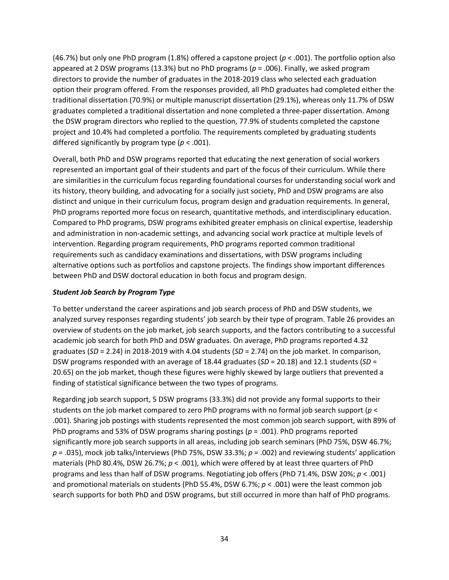(46.7%) but only one PhD program (1.8%) offered a capstone project (*p* < .001). The portfolio option also appeared at 2 DSW programs (13.3%) but no PhD programs (*p* = .006). Finally, we asked program directors to provide the number of graduates in the 2018-2019 class who selected each graduation option their program offered. From the responses provided, all PhD graduates had completed either the traditional dissertation (70.9%) or multiple manuscript dissertation (29.1%), whereas only 11.7% of DSW graduates completed a traditional dissertation and none completed a three-paper dissertation. Among the DSW program directors who replied to the question, 77.9% of students completed the capstone project and 10.4% had completed a portfolio*.* The requirements completed by graduating students differed significantly by program type (*p* < .001).

Overall, both PhD and DSW programs reported that educating the next generation of social workers represented an important goal of their students and part of the focus of their curriculum. While there are similarities in the curriculum focus regarding foundational courses for understanding social work and its history, theory building, and advocating for a socially just society, PhD and DSW programs are also distinct and unique in their curriculum focus, program design and graduation requirements. In general, PhD programs reported more focus on research, quantitative methods, and interdisciplinary education. Compared to PhD programs, DSW programs exhibited greater emphasis on clinical expertise, leadership and administration in non-academic settings, and advancing social work practice at multiple levels of intervention. Regarding program requirements, PhD programs reported common traditional requirements such as candidacy examinations and dissertations, with DSW programs including alternative options such as portfolios and capstone projects. The findings show important differences between PhD and DSW doctoral education in both focus and program design.

#### *Student Job Search by Program Type*

To better understand the career aspirations and job search process of PhD and DSW students, we analyzed survey responses regarding students' job search by their type of program. Table 26 provides an overview of students on the job market, job search supports, and the factors contributing to a successful academic job search for both PhD and DSW graduates. On average, PhD programs reported 4.32 graduates (*SD* = 2.24) in 2018-2019 with 4.04 students (*SD* = 2.74) on the job market. In comparison, DSW programs responded with an average of 18.44 graduates (*SD* = 20.18) and 12.1 students (*SD* = 20.65) on the job market, though these figures were highly skewed by large outliers that prevented a finding of statistical significance between the two types of programs.

Regarding job search support, 5 DSW programs (33.3%) did not provide any formal supports to their students on the job market compared to zero PhD programs with no formal job search support (*p* < .001). Sharing job postings with students represented the most common job search support, with 89% of PhD programs and 53% of DSW programs sharing postings (*p* = .001). PhD programs reported significantly more job search supports in all areas, including job search seminars (PhD 75%, DSW 46.7%; *p* = .035), mock job talks/interviews (PhD 75%, DSW 33.3%; *p* = .002) and reviewing students' application materials (PhD 80.4%, DSW 26.7%; *p* < .001), which were offered by at least three quarters of PhD programs and less than half of DSW programs. Negotiating job offers (PhD 71.4%, DSW 20%; *p* < .001) and promotional materials on students (PhD 55.4%, DSW 6.7%; *p* < .001) were the least common job search supports for both PhD and DSW programs, but still occurred in more than half of PhD programs.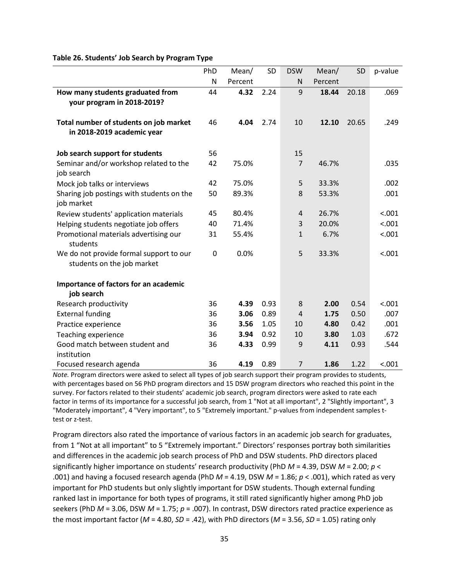| Table 26. Students' Job Search by Program Type |  |  |
|------------------------------------------------|--|--|
|------------------------------------------------|--|--|

|                                           | PhD         | Mean/   | SD   | <b>DSW</b>     | Mean/   | SD    | p-value |
|-------------------------------------------|-------------|---------|------|----------------|---------|-------|---------|
|                                           | N           | Percent |      | N              | Percent |       |         |
| How many students graduated from          | 44          | 4.32    | 2.24 | 9              | 18.44   | 20.18 | .069    |
| your program in 2018-2019?                |             |         |      |                |         |       |         |
|                                           |             |         |      |                |         |       |         |
| Total number of students on job market    | 46          | 4.04    | 2.74 | 10             | 12.10   | 20.65 | .249    |
| in 2018-2019 academic year                |             |         |      |                |         |       |         |
| Job search support for students           | 56          |         |      | 15             |         |       |         |
| Seminar and/or workshop related to the    | 42          | 75.0%   |      | $\overline{7}$ | 46.7%   |       | .035    |
| job search                                |             |         |      |                |         |       |         |
| Mock job talks or interviews              | 42          | 75.0%   |      | 5              | 33.3%   |       | .002    |
| Sharing job postings with students on the | 50          | 89.3%   |      | 8              | 53.3%   |       | .001    |
| job market                                |             |         |      |                |         |       |         |
| Review students' application materials    | 45          | 80.4%   |      | $\overline{4}$ | 26.7%   |       | < .001  |
| Helping students negotiate job offers     | 40          | 71.4%   |      | 3              | 20.0%   |       | < .001  |
| Promotional materials advertising our     | 31          | 55.4%   |      | $\mathbf{1}$   | 6.7%    |       | < .001  |
| students                                  |             |         |      |                |         |       |         |
| We do not provide formal support to our   | $\mathbf 0$ | 0.0%    |      | 5              | 33.3%   |       | < .001  |
| students on the job market                |             |         |      |                |         |       |         |
| Importance of factors for an academic     |             |         |      |                |         |       |         |
| job search                                |             |         |      |                |         |       |         |
| Research productivity                     | 36          | 4.39    | 0.93 | 8              | 2.00    | 0.54  | < .001  |
| <b>External funding</b>                   | 36          | 3.06    | 0.89 | $\overline{4}$ | 1.75    | 0.50  | .007    |
| Practice experience                       | 36          | 3.56    | 1.05 | 10             | 4.80    | 0.42  | .001    |
| <b>Teaching experience</b>                | 36          | 3.94    | 0.92 | 10             | 3.80    | 1.03  | .672    |
| Good match between student and            | 36          | 4.33    | 0.99 | 9              | 4.11    | 0.93  | .544    |
| institution                               |             |         |      |                |         |       |         |
| Focused research agenda                   | 36          | 4.19    | 0.89 | $\overline{7}$ | 1.86    | 1.22  | < .001  |

*Note.* Program directors were asked to select all types of job search support their program provides to students, with percentages based on 56 PhD program directors and 15 DSW program directors who reached this point in the survey. For factors related to their students' academic job search, program directors were asked to rate each factor in terms of its importance for a successful job search, from 1 "Not at all important", 2 "Slightly important", 3 "Moderately important", 4 "Very important", to 5 "Extremely important." p-values from independent samples ttest or z-test.

Program directors also rated the importance of various factors in an academic job search for graduates, from 1 "Not at all important" to 5 "Extremely important." Directors' responses portray both similarities and differences in the academic job search process of PhD and DSW students. PhD directors placed significantly higher importance on students' research productivity (PhD *M* = 4.39, DSW *M* = 2.00; *p* < .001) and having a focused research agenda (PhD *M* = 4.19, DSW *M* = 1.86; *p* < .001), which rated as very important for PhD students but only slightly important for DSW students. Though external funding ranked last in importance for both types of programs, it still rated significantly higher among PhD job seekers (PhD *M* = 3.06, DSW *M* = 1.75; *p* = .007). In contrast, DSW directors rated practice experience as the most important factor (*M* = 4.80, *SD* = .42), with PhD directors (*M* = 3.56, *SD* = 1.05) rating only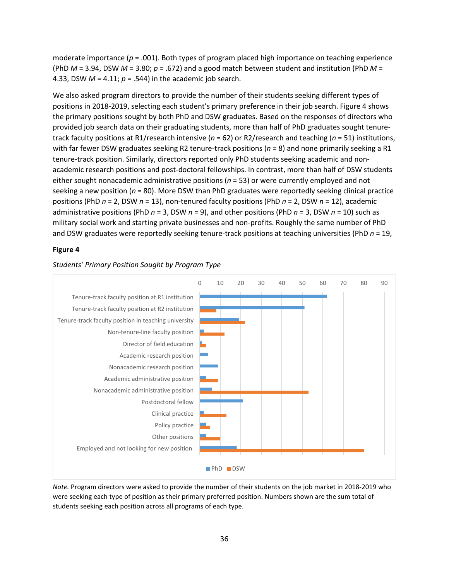moderate importance (*p* = .001). Both types of program placed high importance on teaching experience (PhD  $M = 3.94$ , DSW  $M = 3.80$ ;  $p = .672$ ) and a good match between student and institution (PhD  $M =$ 4.33, DSW *M* = 4.11; *p* = .544) in the academic job search.

We also asked program directors to provide the number of their students seeking different types of positions in 2018-2019, selecting each student's primary preference in their job search. Figure 4 shows the primary positions sought by both PhD and DSW graduates. Based on the responses of directors who provided job search data on their graduating students, more than half of PhD graduates sought tenuretrack faculty positions at R1/research intensive (*n* = 62) or R2/research and teaching (*n* = 51) institutions, with far fewer DSW graduates seeking R2 tenure-track positions ( $n = 8$ ) and none primarily seeking a R1 tenure-track position. Similarly, directors reported only PhD students seeking academic and nonacademic research positions and post-doctoral fellowships. In contrast, more than half of DSW students either sought nonacademic administrative positions (*n* = 53) or were currently employed and not seeking a new position (*n* = 80). More DSW than PhD graduates were reportedly seeking clinical practice positions (PhD *n* = 2, DSW *n* = 13), non-tenured faculty positions (PhD *n* = 2, DSW *n* = 12), academic administrative positions (PhD *n* = 3, DSW *n* = 9), and other positions (PhD *n* = 3, DSW *n* = 10) such as military social work and starting private businesses and non-profits. Roughly the same number of PhD and DSW graduates were reportedly seeking tenure-track positions at teaching universities (PhD *n* = 19,

#### **Figure 4**



#### *Students' Primary Position Sought by Program Type*

*Note.* Program directors were asked to provide the number of their students on the job market in 2018-2019 who were seeking each type of position as their primary preferred position. Numbers shown are the sum total of students seeking each position across all programs of each type.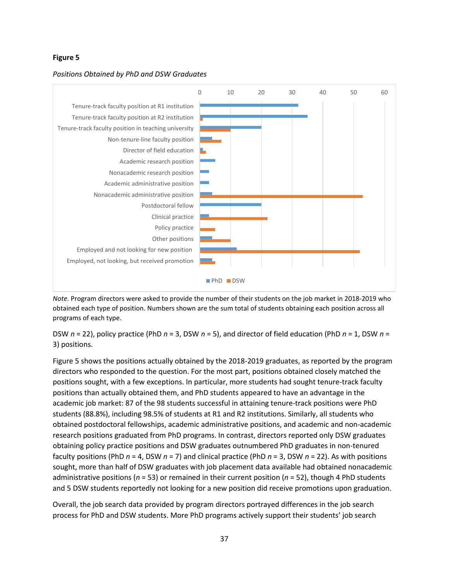#### **Figure 5**



#### *Positions Obtained by PhD and DSW Graduates*

*Note.* Program directors were asked to provide the number of their students on the job market in 2018-2019 who obtained each type of position. Numbers shown are the sum total of students obtaining each position across all programs of each type.

DSW *n* = 22), policy practice (PhD *n* = 3, DSW *n* = 5), and director of field education (PhD *n* = 1, DSW *n* = 3) positions.

Figure 5 shows the positions actually obtained by the 2018-2019 graduates, as reported by the program directors who responded to the question. For the most part, positions obtained closely matched the positions sought, with a few exceptions. In particular, more students had sought tenure-track faculty positions than actually obtained them, and PhD students appeared to have an advantage in the academic job market: 87 of the 98 students successful in attaining tenure-track positions were PhD students (88.8%), including 98.5% of students at R1 and R2 institutions. Similarly, all students who obtained postdoctoral fellowships, academic administrative positions, and academic and non-academic research positions graduated from PhD programs. In contrast, directors reported only DSW graduates obtaining policy practice positions and DSW graduates outnumbered PhD graduates in non-tenured faculty positions (PhD *n* = 4, DSW *n* = 7) and clinical practice (PhD *n* = 3, DSW *n* = 22). As with positions sought, more than half of DSW graduates with job placement data available had obtained nonacademic administrative positions (*n* = 53) or remained in their current position (*n* = 52), though 4 PhD students and 5 DSW students reportedly not looking for a new position did receive promotions upon graduation.

Overall, the job search data provided by program directors portrayed differences in the job search process for PhD and DSW students. More PhD programs actively support their students' job search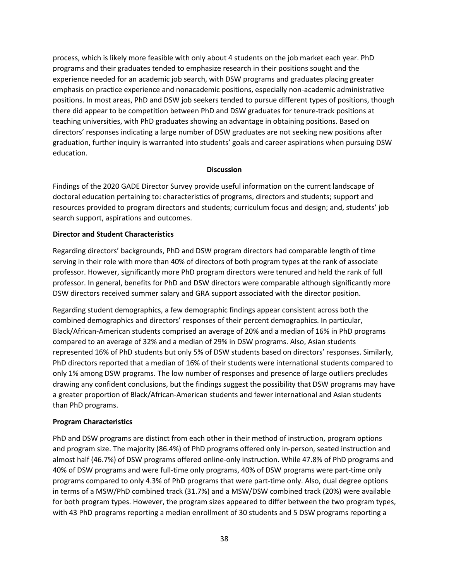process, which is likely more feasible with only about 4 students on the job market each year. PhD programs and their graduates tended to emphasize research in their positions sought and the experience needed for an academic job search, with DSW programs and graduates placing greater emphasis on practice experience and nonacademic positions, especially non-academic administrative positions. In most areas, PhD and DSW job seekers tended to pursue different types of positions, though there did appear to be competition between PhD and DSW graduates for tenure-track positions at teaching universities, with PhD graduates showing an advantage in obtaining positions. Based on directors' responses indicating a large number of DSW graduates are not seeking new positions after graduation, further inquiry is warranted into students' goals and career aspirations when pursuing DSW education.

#### **Discussion**

Findings of the 2020 GADE Director Survey provide useful information on the current landscape of doctoral education pertaining to: characteristics of programs, directors and students; support and resources provided to program directors and students; curriculum focus and design; and, students' job search support, aspirations and outcomes.

#### **Director and Student Characteristics**

Regarding directors' backgrounds, PhD and DSW program directors had comparable length of time serving in their role with more than 40% of directors of both program types at the rank of associate professor. However, significantly more PhD program directors were tenured and held the rank of full professor. In general, benefits for PhD and DSW directors were comparable although significantly more DSW directors received summer salary and GRA support associated with the director position.

Regarding student demographics, a few demographic findings appear consistent across both the combined demographics and directors' responses of their percent demographics. In particular, Black/African-American students comprised an average of 20% and a median of 16% in PhD programs compared to an average of 32% and a median of 29% in DSW programs. Also, Asian students represented 16% of PhD students but only 5% of DSW students based on directors' responses. Similarly, PhD directors reported that a median of 16% of their students were international students compared to only 1% among DSW programs. The low number of responses and presence of large outliers precludes drawing any confident conclusions, but the findings suggest the possibility that DSW programs may have a greater proportion of Black/African-American students and fewer international and Asian students than PhD programs.

#### **Program Characteristics**

PhD and DSW programs are distinct from each other in their method of instruction, program options and program size. The majority (86.4%) of PhD programs offered only in-person, seated instruction and almost half (46.7%) of DSW programs offered online-only instruction. While 47.8% of PhD programs and 40% of DSW programs and were full-time only programs, 40% of DSW programs were part-time only programs compared to only 4.3% of PhD programs that were part-time only. Also, dual degree options in terms of a MSW/PhD combined track (31.7%) and a MSW/DSW combined track (20%) were available for both program types. However, the program sizes appeared to differ between the two program types, with 43 PhD programs reporting a median enrollment of 30 students and 5 DSW programs reporting a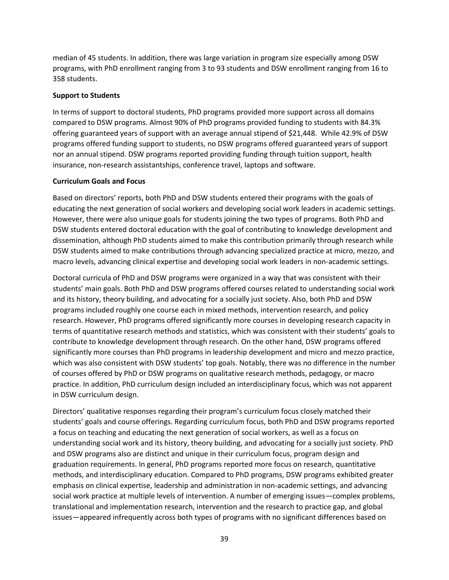median of 45 students. In addition, there was large variation in program size especially among DSW programs, with PhD enrollment ranging from 3 to 93 students and DSW enrollment ranging from 16 to 358 students.

#### **Support to Students**

In terms of support to doctoral students, PhD programs provided more support across all domains compared to DSW programs. Almost 90% of PhD programs provided funding to students with 84.3% offering guaranteed years of support with an average annual stipend of \$21,448. While 42.9% of DSW programs offered funding support to students, no DSW programs offered guaranteed years of support nor an annual stipend. DSW programs reported providing funding through tuition support, health insurance, non-research assistantships, conference travel, laptops and software.

#### **Curriculum Goals and Focus**

Based on directors' reports, both PhD and DSW students entered their programs with the goals of educating the next generation of social workers and developing social work leaders in academic settings. However, there were also unique goals for students joining the two types of programs. Both PhD and DSW students entered doctoral education with the goal of contributing to knowledge development and dissemination, although PhD students aimed to make this contribution primarily through research while DSW students aimed to make contributions through advancing specialized practice at micro, mezzo, and macro levels, advancing clinical expertise and developing social work leaders in non-academic settings.

Doctoral curricula of PhD and DSW programs were organized in a way that was consistent with their students' main goals. Both PhD and DSW programs offered courses related to understanding social work and its history, theory building, and advocating for a socially just society. Also, both PhD and DSW programs included roughly one course each in mixed methods, intervention research, and policy research. However, PhD programs offered significantly more courses in developing research capacity in terms of quantitative research methods and statistics, which was consistent with their students' goals to contribute to knowledge development through research. On the other hand, DSW programs offered significantly more courses than PhD programs in leadership development and micro and mezzo practice, which was also consistent with DSW students' top goals. Notably, there was no difference in the number of courses offered by PhD or DSW programs on qualitative research methods, pedagogy, or macro practice. In addition, PhD curriculum design included an interdisciplinary focus, which was not apparent in DSW curriculum design.

Directors' qualitative responses regarding their program's curriculum focus closely matched their students' goals and course offerings. Regarding curriculum focus, both PhD and DSW programs reported a focus on teaching and educating the next generation of social workers, as well as a focus on understanding social work and its history, theory building, and advocating for a socially just society. PhD and DSW programs also are distinct and unique in their curriculum focus, program design and graduation requirements. In general, PhD programs reported more focus on research, quantitative methods, and interdisciplinary education. Compared to PhD programs, DSW programs exhibited greater emphasis on clinical expertise, leadership and administration in non-academic settings, and advancing social work practice at multiple levels of intervention. A number of emerging issues—complex problems, translational and implementation research, intervention and the research to practice gap, and global issues—appeared infrequently across both types of programs with no significant differences based on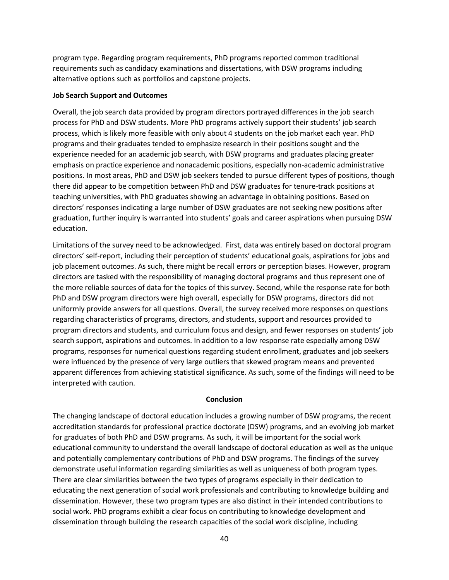program type. Regarding program requirements, PhD programs reported common traditional requirements such as candidacy examinations and dissertations, with DSW programs including alternative options such as portfolios and capstone projects.

#### **Job Search Support and Outcomes**

Overall, the job search data provided by program directors portrayed differences in the job search process for PhD and DSW students. More PhD programs actively support their students' job search process, which is likely more feasible with only about 4 students on the job market each year. PhD programs and their graduates tended to emphasize research in their positions sought and the experience needed for an academic job search, with DSW programs and graduates placing greater emphasis on practice experience and nonacademic positions, especially non-academic administrative positions. In most areas, PhD and DSW job seekers tended to pursue different types of positions, though there did appear to be competition between PhD and DSW graduates for tenure-track positions at teaching universities, with PhD graduates showing an advantage in obtaining positions. Based on directors' responses indicating a large number of DSW graduates are not seeking new positions after graduation, further inquiry is warranted into students' goals and career aspirations when pursuing DSW education.

Limitations of the survey need to be acknowledged. First, data was entirely based on doctoral program directors' self-report, including their perception of students' educational goals, aspirations for jobs and job placement outcomes. As such, there might be recall errors or perception biases. However, program directors are tasked with the responsibility of managing doctoral programs and thus represent one of the more reliable sources of data for the topics of this survey. Second, while the response rate for both PhD and DSW program directors were high overall, especially for DSW programs, directors did not uniformly provide answers for all questions. Overall, the survey received more responses on questions regarding characteristics of programs, directors, and students, support and resources provided to program directors and students, and curriculum focus and design, and fewer responses on students' job search support, aspirations and outcomes. In addition to a low response rate especially among DSW programs, responses for numerical questions regarding student enrollment, graduates and job seekers were influenced by the presence of very large outliers that skewed program means and prevented apparent differences from achieving statistical significance. As such, some of the findings will need to be interpreted with caution.

#### **Conclusion**

The changing landscape of doctoral education includes a growing number of DSW programs, the recent accreditation standards for professional practice doctorate (DSW) programs, and an evolving job market for graduates of both PhD and DSW programs. As such, it will be important for the social work educational community to understand the overall landscape of doctoral education as well as the unique and potentially complementary contributions of PhD and DSW programs. The findings of the survey demonstrate useful information regarding similarities as well as uniqueness of both program types. There are clear similarities between the two types of programs especially in their dedication to educating the next generation of social work professionals and contributing to knowledge building and dissemination. However, these two program types are also distinct in their intended contributions to social work. PhD programs exhibit a clear focus on contributing to knowledge development and dissemination through building the research capacities of the social work discipline, including